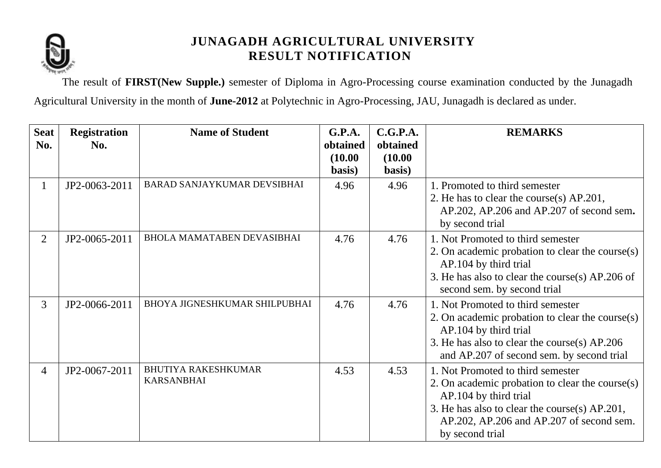

The result of **FIRST(New Supple.)** semester of Diploma in Agro-Processing course examination conducted by the Junagadh Agricultural University in the month of **June-2012** at Polytechnic in Agro-Processing, JAU, Junagadh is declared as under.

| <b>Seat</b><br>No. | <b>Registration</b><br>No. | <b>Name of Student</b>                          | G.P.A.<br>obtained | C.G.P.A.<br>obtained | <b>REMARKS</b>                                                                                                                                                                                                                |
|--------------------|----------------------------|-------------------------------------------------|--------------------|----------------------|-------------------------------------------------------------------------------------------------------------------------------------------------------------------------------------------------------------------------------|
|                    |                            |                                                 | (10.00)<br>basis)  | (10.00)<br>basis)    |                                                                                                                                                                                                                               |
| 1                  | JP2-0063-2011              | <b>BARAD SANJAYKUMAR DEVSIBHAI</b>              | 4.96               | 4.96                 | 1. Promoted to third semester<br>2. He has to clear the course(s) AP.201,<br>AP.202, AP.206 and AP.207 of second sem.<br>by second trial                                                                                      |
| $\overline{2}$     | JP2-0065-2011              | <b>BHOLA MAMATABEN DEVASIBHAI</b>               | 4.76               | 4.76                 | 1. Not Promoted to third semester<br>2. On academic probation to clear the course(s)<br>AP.104 by third trial<br>3. He has also to clear the course(s) AP.206 of<br>second sem. by second trial                               |
| $\overline{3}$     | JP2-0066-2011              | <b>BHOYA JIGNESHKUMAR SHILPUBHAI</b>            | 4.76               | 4.76                 | 1. Not Promoted to third semester<br>2. On academic probation to clear the course(s)<br>AP.104 by third trial<br>3. He has also to clear the course(s) AP.206<br>and AP.207 of second sem. by second trial                    |
| $\overline{4}$     | JP2-0067-2011              | <b>BHUTIYA RAKESHKUMAR</b><br><b>KARSANBHAI</b> | 4.53               | 4.53                 | 1. Not Promoted to third semester<br>2. On academic probation to clear the course(s)<br>AP.104 by third trial<br>3. He has also to clear the course(s) AP.201,<br>AP.202, AP.206 and AP.207 of second sem.<br>by second trial |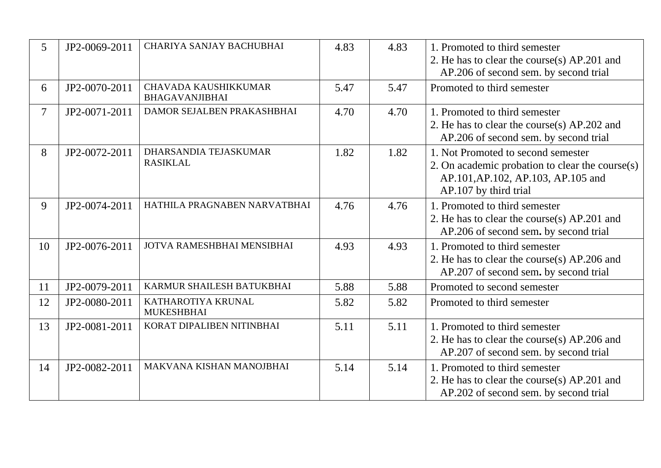| 5  | JP2-0069-2011 | CHARIYA SANJAY BACHUBHAI                      | 4.83 | 4.83 | 1. Promoted to third semester<br>2. He has to clear the course(s) AP.201 and<br>AP.206 of second sem. by second trial                                   |
|----|---------------|-----------------------------------------------|------|------|---------------------------------------------------------------------------------------------------------------------------------------------------------|
| 6  | JP2-0070-2011 | CHAVADA KAUSHIKKUMAR<br><b>BHAGAVANJIBHAI</b> | 5.47 | 5.47 | Promoted to third semester                                                                                                                              |
| 7  | JP2-0071-2011 | DAMOR SEJALBEN PRAKASHBHAI                    | 4.70 | 4.70 | 1. Promoted to third semester<br>2. He has to clear the course(s) AP.202 and<br>AP.206 of second sem. by second trial                                   |
| 8  | JP2-0072-2011 | DHARSANDIA TEJASKUMAR<br><b>RASIKLAL</b>      | 1.82 | 1.82 | 1. Not Promoted to second semester<br>2. On academic probation to clear the course $(s)$<br>AP.101, AP.102, AP.103, AP.105 and<br>AP.107 by third trial |
| 9  | JP2-0074-2011 | HATHILA PRAGNABEN NARVATBHAI                  | 4.76 | 4.76 | 1. Promoted to third semester<br>2. He has to clear the course(s) AP.201 and<br>AP.206 of second sem. by second trial                                   |
| 10 | JP2-0076-2011 | JOTVA RAMESHBHAI MENSIBHAI                    | 4.93 | 4.93 | 1. Promoted to third semester<br>2. He has to clear the course(s) AP.206 and<br>AP.207 of second sem. by second trial                                   |
| 11 | JP2-0079-2011 | KARMUR SHAILESH BATUKBHAI                     | 5.88 | 5.88 | Promoted to second semester                                                                                                                             |
| 12 | JP2-0080-2011 | KATHAROTIYA KRUNAL<br><b>MUKESHBHAI</b>       | 5.82 | 5.82 | Promoted to third semester                                                                                                                              |
| 13 | JP2-0081-2011 | KORAT DIPALIBEN NITINBHAI                     | 5.11 | 5.11 | 1. Promoted to third semester<br>2. He has to clear the course(s) AP.206 and<br>AP.207 of second sem. by second trial                                   |
| 14 | JP2-0082-2011 | MAKVANA KISHAN MANOJBHAI                      | 5.14 | 5.14 | 1. Promoted to third semester<br>2. He has to clear the course(s) AP.201 and<br>AP.202 of second sem. by second trial                                   |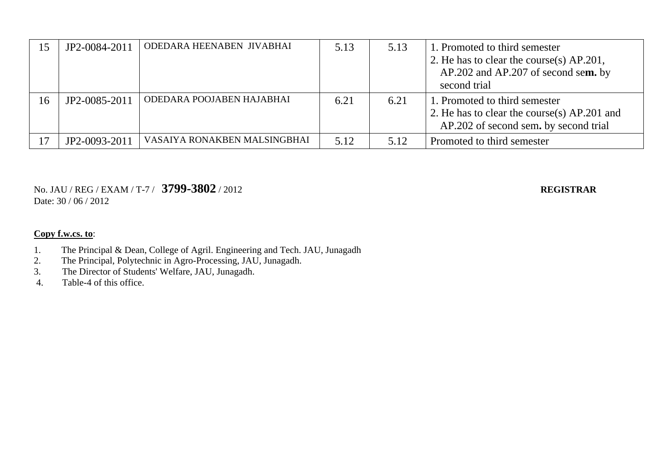| 15 | JP2-0084-2011 | ODEDARA HEENABEN JIVABHAI    | 5.13 | 5.13 | 1. Promoted to third semester<br>2. He has to clear the course(s) AP.201,<br>AP.202 and AP.207 of second sem. by<br>second trial |
|----|---------------|------------------------------|------|------|----------------------------------------------------------------------------------------------------------------------------------|
| 16 | JP2-0085-2011 | ODEDARA POOJABEN HAJABHAI    | 6.21 | 6.21 | 1. Promoted to third semester<br>2. He has to clear the course(s) AP.201 and<br>AP.202 of second sem. by second trial            |
|    | JP2-0093-2011 | VASAIYA RONAKBEN MALSINGBHAI | 5.12 | 5.12 | Promoted to third semester                                                                                                       |

No. JAU / REG / EXAM / T-7 / **3799-3802** / 2012 **REGISTRAR** Date: 30 / 06 / 2012

- 1. The Principal & Dean, College of Agril. Engineering and Tech. JAU, Junagadh
- 2. The Principal, Polytechnic in Agro-Processing, JAU, Junagadh.
- 3. The Director of Students' Welfare, JAU, Junagadh.<br>4. Table-4 of this office.
- Table-4 of this office.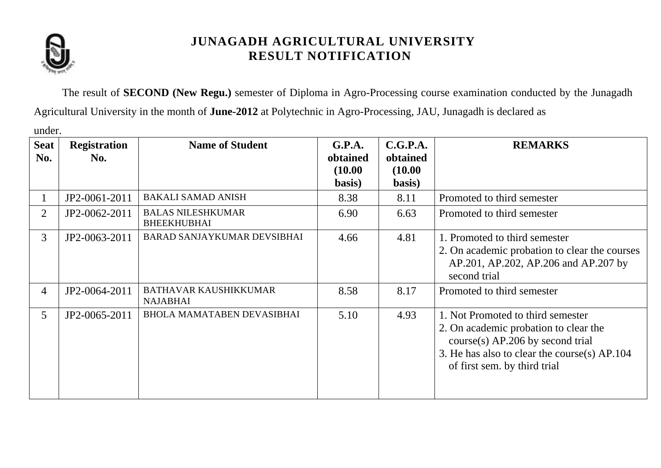

The result of **SECOND (New Regu.)** semester of Diploma in Agro-Processing course examination conducted by the Junagadh Agricultural University in the month of **June-2012** at Polytechnic in Agro-Processing, JAU, Junagadh is declared as

under.

| <b>Seat</b><br>No. | <b>Registration</b><br>No. | <b>Name of Student</b>                          | G.P.A.<br>obtained<br>(10.00)<br>basis) | C.G.P.A.<br>obtained<br>(10.00)<br>basis) | <b>REMARKS</b>                                                                                                                                                                                   |  |
|--------------------|----------------------------|-------------------------------------------------|-----------------------------------------|-------------------------------------------|--------------------------------------------------------------------------------------------------------------------------------------------------------------------------------------------------|--|
|                    | JP2-0061-2011              | <b>BAKALI SAMAD ANISH</b>                       | 8.38                                    | 8.11                                      | Promoted to third semester                                                                                                                                                                       |  |
| 2                  | JP2-0062-2011              | <b>BALAS NILESHKUMAR</b><br><b>BHEEKHUBHAI</b>  | 6.90                                    | 6.63                                      | Promoted to third semester                                                                                                                                                                       |  |
| $\overline{3}$     | JP2-0063-2011              | <b>BARAD SANJAYKUMAR DEVSIBHAI</b>              | 4.66                                    | 4.81                                      | 1. Promoted to third semester<br>2. On academic probation to clear the courses<br>AP.201, AP.202, AP.206 and AP.207 by<br>second trial                                                           |  |
| $\overline{4}$     | JP2-0064-2011              | <b>BATHAVAR KAUSHIKKUMAR</b><br><b>NAJABHAI</b> | 8.58                                    | 8.17                                      | Promoted to third semester                                                                                                                                                                       |  |
| 5 <sup>5</sup>     | JP2-0065-2011              | <b>BHOLA MAMATABEN DEVASIBHAI</b>               | 5.10                                    | 4.93                                      | 1. Not Promoted to third semester<br>2. On academic probation to clear the<br>$course(s)$ AP.206 by second trial<br>3. He has also to clear the course(s) AP.104<br>of first sem. by third trial |  |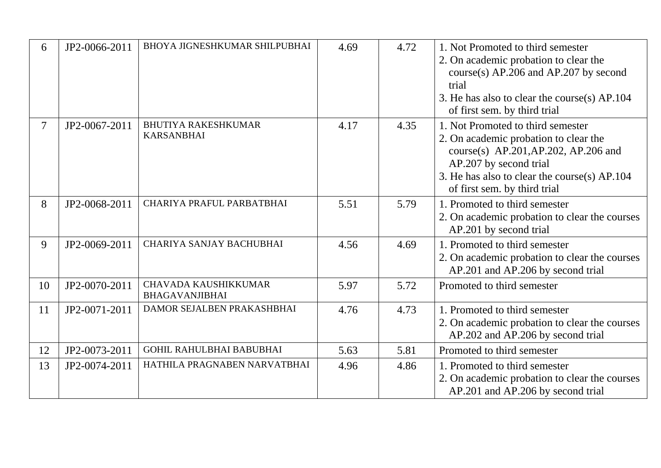| 6                        | JP2-0066-2011 | BHOYA JIGNESHKUMAR SHILPUBHAI                   | 4.69 | 4.72 | 1. Not Promoted to third semester<br>2. On academic probation to clear the<br>$course(s)$ AP.206 and AP.207 by second<br>trial<br>3. He has also to clear the course(s) AP.104<br>of first sem. by third trial                       |
|--------------------------|---------------|-------------------------------------------------|------|------|--------------------------------------------------------------------------------------------------------------------------------------------------------------------------------------------------------------------------------------|
| $\overline{\mathcal{L}}$ | JP2-0067-2011 | <b>BHUTIYA RAKESHKUMAR</b><br><b>KARSANBHAI</b> | 4.17 | 4.35 | 1. Not Promoted to third semester<br>2. On academic probation to clear the<br>course(s) $AP.201$ , $AP.202$ , $AP.206$ and<br>AP.207 by second trial<br>3. He has also to clear the course(s) AP.104<br>of first sem. by third trial |
| 8                        | JP2-0068-2011 | CHARIYA PRAFUL PARBATBHAI                       | 5.51 | 5.79 | 1. Promoted to third semester<br>2. On academic probation to clear the courses<br>AP.201 by second trial                                                                                                                             |
| 9                        | JP2-0069-2011 | CHARIYA SANJAY BACHUBHAI                        | 4.56 | 4.69 | 1. Promoted to third semester<br>2. On academic probation to clear the courses<br>AP.201 and AP.206 by second trial                                                                                                                  |
| 10                       | JP2-0070-2011 | CHAVADA KAUSHIKKUMAR<br><b>BHAGAVANJIBHAI</b>   | 5.97 | 5.72 | Promoted to third semester                                                                                                                                                                                                           |
| 11                       | JP2-0071-2011 | DAMOR SEJALBEN PRAKASHBHAI                      | 4.76 | 4.73 | 1. Promoted to third semester<br>2. On academic probation to clear the courses<br>AP.202 and AP.206 by second trial                                                                                                                  |
| 12                       | JP2-0073-2011 | <b>GOHIL RAHULBHAI BABUBHAI</b>                 | 5.63 | 5.81 | Promoted to third semester                                                                                                                                                                                                           |
| 13                       | JP2-0074-2011 | HATHILA PRAGNABEN NARVATBHAI                    | 4.96 | 4.86 | 1. Promoted to third semester<br>2. On academic probation to clear the courses<br>AP.201 and AP.206 by second trial                                                                                                                  |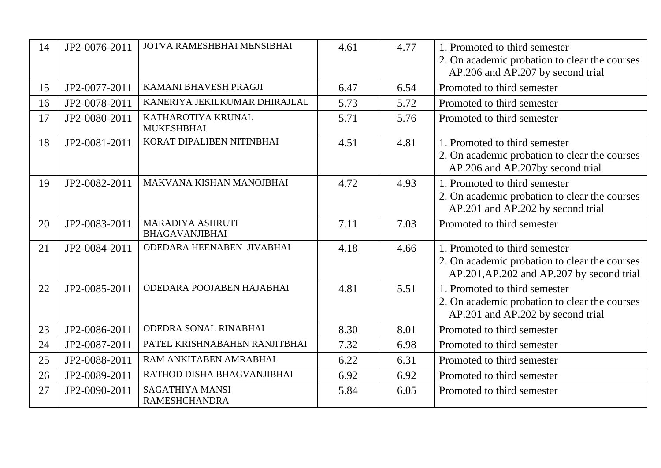| 14 | JP2-0076-2011 | JOTVA RAMESHBHAI MENSIBHAI                     | 4.61 | 4.77 | 1. Promoted to third semester<br>2. On academic probation to clear the courses<br>AP.206 and AP.207 by second trial         |
|----|---------------|------------------------------------------------|------|------|-----------------------------------------------------------------------------------------------------------------------------|
| 15 | JP2-0077-2011 | KAMANI BHAVESH PRAGJI                          | 6.47 | 6.54 | Promoted to third semester                                                                                                  |
| 16 | JP2-0078-2011 | KANERIYA JEKILKUMAR DHIRAJLAL                  | 5.73 | 5.72 | Promoted to third semester                                                                                                  |
| 17 | JP2-0080-2011 | KATHAROTIYA KRUNAL<br><b>MUKESHBHAI</b>        | 5.71 | 5.76 | Promoted to third semester                                                                                                  |
| 18 | JP2-0081-2011 | KORAT DIPALIBEN NITINBHAI                      | 4.51 | 4.81 | 1. Promoted to third semester<br>2. On academic probation to clear the courses<br>AP.206 and AP.207by second trial          |
| 19 | JP2-0082-2011 | MAKVANA KISHAN MANOJBHAI                       | 4.72 | 4.93 | 1. Promoted to third semester<br>2. On academic probation to clear the courses<br>AP.201 and AP.202 by second trial         |
| 20 | JP2-0083-2011 | MARADIYA ASHRUTI<br><b>BHAGAVANJIBHAI</b>      | 7.11 | 7.03 | Promoted to third semester                                                                                                  |
| 21 | JP2-0084-2011 | ODEDARA HEENABEN JIVABHAI                      | 4.18 | 4.66 | 1. Promoted to third semester<br>2. On academic probation to clear the courses<br>AP.201, AP.202 and AP.207 by second trial |
| 22 | JP2-0085-2011 | ODEDARA POOJABEN HAJABHAI                      | 4.81 | 5.51 | 1. Promoted to third semester<br>2. On academic probation to clear the courses<br>AP.201 and AP.202 by second trial         |
| 23 | JP2-0086-2011 | ODEDRA SONAL RINABHAI                          | 8.30 | 8.01 | Promoted to third semester                                                                                                  |
| 24 | JP2-0087-2011 | PATEL KRISHNABAHEN RANJITBHAI                  | 7.32 | 6.98 | Promoted to third semester                                                                                                  |
| 25 | JP2-0088-2011 | RAM ANKITABEN AMRABHAI                         | 6.22 | 6.31 | Promoted to third semester                                                                                                  |
| 26 | JP2-0089-2011 | RATHOD DISHA BHAGVANJIBHAI                     | 6.92 | 6.92 | Promoted to third semester                                                                                                  |
| 27 | JP2-0090-2011 | <b>SAGATHIYA MANSI</b><br><b>RAMESHCHANDRA</b> | 5.84 | 6.05 | Promoted to third semester                                                                                                  |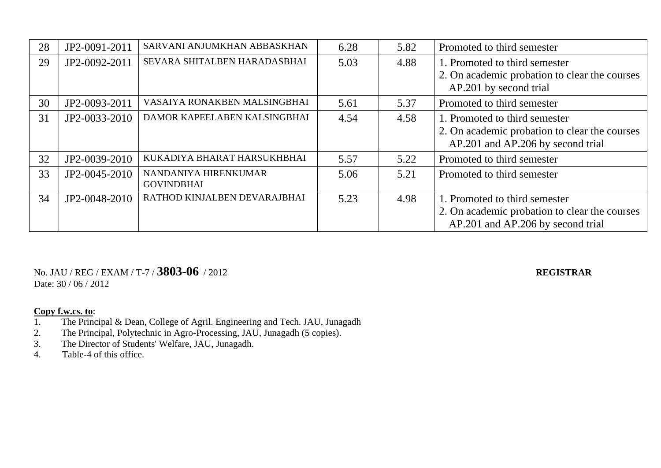| 28 | JP2-0091-2011 | SARVANI ANJUMKHAN ABBASKHAN               | 6.28 | 5.82 | Promoted to third semester                                                                                          |
|----|---------------|-------------------------------------------|------|------|---------------------------------------------------------------------------------------------------------------------|
| 29 | JP2-0092-2011 | SEVARA SHITALBEN HARADASBHAI              | 5.03 | 4.88 | 1. Promoted to third semester<br>2. On academic probation to clear the courses<br>AP.201 by second trial            |
| 30 | JP2-0093-2011 | VASAIYA RONAKBEN MALSINGBHAI              | 5.61 | 5.37 | Promoted to third semester                                                                                          |
| 31 | JP2-0033-2010 | DAMOR KAPEELABEN KALSINGBHAI              | 4.54 | 4.58 | 1. Promoted to third semester<br>2. On academic probation to clear the courses<br>AP.201 and AP.206 by second trial |
| 32 | JP2-0039-2010 | KUKADIYA BHARAT HARSUKHBHAI               | 5.57 | 5.22 | Promoted to third semester                                                                                          |
| 33 | JP2-0045-2010 | NANDANIYA HIRENKUMAR<br><b>GOVINDBHAI</b> | 5.06 | 5.21 | Promoted to third semester                                                                                          |
| 34 | JP2-0048-2010 | RATHOD KINJALBEN DEVARAJBHAI              | 5.23 | 4.98 | 1. Promoted to third semester<br>2. On academic probation to clear the courses<br>AP.201 and AP.206 by second trial |

### No. JAU / REG / EXAM / T-7 / **3803-06** / 2012 **REGISTRAR** Date: 30 / 06 / 2012

**Copy f.w.cs. to:**<br>1. The Princ

- The Principal & Dean, College of Agril. Engineering and Tech. JAU, Junagadh
- 2. The Principal, Polytechnic in Agro-Processing, JAU, Junagadh (5 copies).<br>
3. The Director of Students' Welfare, JAU, Junagadh.
- The Director of Students' Welfare, JAU, Junagadh.
- 4. Table-4 of this office.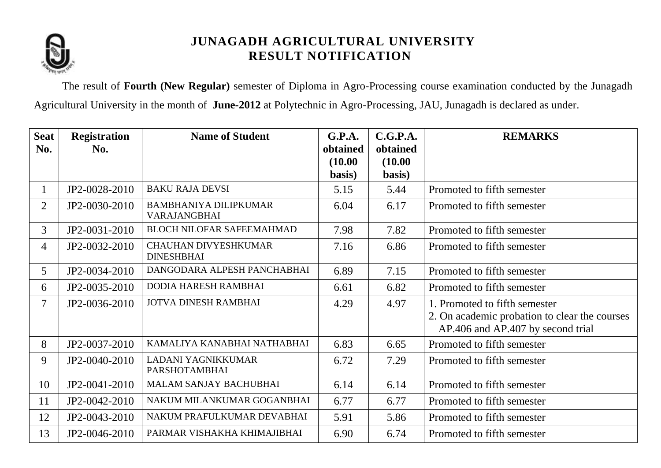

The result of **Fourth (New Regular)** semester of Diploma in Agro-Processing course examination conducted by the Junagadh Agricultural University in the month of **June-2012** at Polytechnic in Agro-Processing, JAU, Junagadh is declared as under.

| <b>Seat</b>    | <b>Registration</b> | <b>Name of Student</b>                           | G.P.A.   | C.G.P.A. | <b>REMARKS</b>                                                                     |
|----------------|---------------------|--------------------------------------------------|----------|----------|------------------------------------------------------------------------------------|
| No.            | No.                 |                                                  | obtained | obtained |                                                                                    |
|                |                     |                                                  | (10.00)  | (10.00)  |                                                                                    |
|                |                     |                                                  | basis)   | basis)   |                                                                                    |
|                | JP2-0028-2010       | <b>BAKU RAJA DEVSI</b>                           | 5.15     | 5.44     | Promoted to fifth semester                                                         |
| $\overline{2}$ | JP2-0030-2010       | <b>BAMBHANIYA DILIPKUMAR</b><br>VARAJANGBHAI     | 6.04     | 6.17     | Promoted to fifth semester                                                         |
| 3              | JP2-0031-2010       | <b>BLOCH NILOFAR SAFEEMAHMAD</b>                 | 7.98     | 7.82     | Promoted to fifth semester                                                         |
| $\overline{4}$ | JP2-0032-2010       | <b>CHAUHAN DIVYESHKUMAR</b><br><b>DINESHBHAI</b> | 7.16     | 6.86     | Promoted to fifth semester                                                         |
| 5 <sup>5</sup> | JP2-0034-2010       | DANGODARA ALPESH PANCHABHAI                      | 6.89     | 7.15     | Promoted to fifth semester                                                         |
| 6              | JP2-0035-2010       | <b>DODIA HARESH RAMBHAI</b>                      | 6.61     | 6.82     | Promoted to fifth semester                                                         |
| 7              | JP2-0036-2010       | <b>JOTVA DINESH RAMBHAI</b>                      | 4.29     | 4.97     | 1. Promoted to fifth semester                                                      |
|                |                     |                                                  |          |          | 2. On academic probation to clear the courses<br>AP.406 and AP.407 by second trial |
| 8              | JP2-0037-2010       | KAMALIYA KANABHAI NATHABHAI                      | 6.83     | 6.65     | Promoted to fifth semester                                                         |
| 9              | JP2-0040-2010       | LADANI YAGNIKKUMAR<br><b>PARSHOTAMBHAI</b>       | 6.72     | 7.29     | Promoted to fifth semester                                                         |
| 10             | JP2-0041-2010       | <b>MALAM SANJAY BACHUBHAI</b>                    | 6.14     | 6.14     | Promoted to fifth semester                                                         |
| 11             | JP2-0042-2010       | NAKUM MILANKUMAR GOGANBHAI                       | 6.77     | 6.77     | Promoted to fifth semester                                                         |
| 12             | JP2-0043-2010       | NAKUM PRAFULKUMAR DEVABHAI                       | 5.91     | 5.86     | Promoted to fifth semester                                                         |
| 13             | JP2-0046-2010       | PARMAR VISHAKHA KHIMAJIBHAI                      | 6.90     | 6.74     | Promoted to fifth semester                                                         |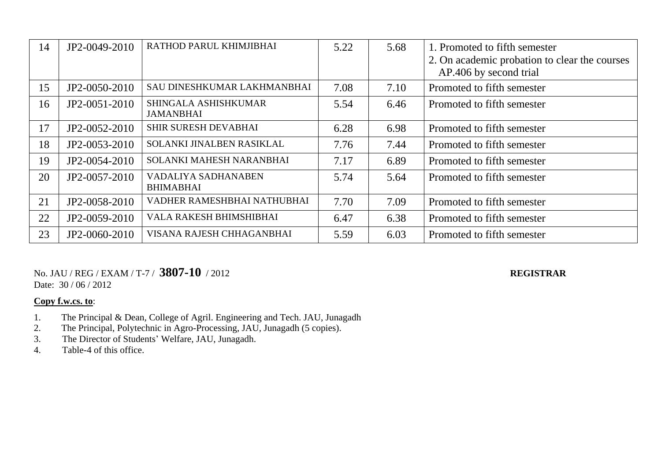| 14 | JP2-0049-2010 | RATHOD PARUL KHIMJIBHAI                  | 5.22 | 5.68 | 1. Promoted to fifth semester<br>2. On academic probation to clear the courses<br>AP.406 by second trial |  |
|----|---------------|------------------------------------------|------|------|----------------------------------------------------------------------------------------------------------|--|
| 15 | JP2-0050-2010 | SAU DINESHKUMAR LAKHMANBHAI              | 7.08 | 7.10 | Promoted to fifth semester                                                                               |  |
| 16 | JP2-0051-2010 | SHINGALA ASHISHKUMAR<br><b>JAMANBHAI</b> | 5.54 | 6.46 | Promoted to fifth semester                                                                               |  |
| 17 | JP2-0052-2010 | <b>SHIR SURESH DEVABHAI</b>              | 6.28 | 6.98 | Promoted to fifth semester                                                                               |  |
| 18 | JP2-0053-2010 | SOLANKI JINALBEN RASIKLAL                | 7.76 | 7.44 | Promoted to fifth semester                                                                               |  |
| 19 | JP2-0054-2010 | SOLANKI MAHESH NARANBHAI                 | 7.17 | 6.89 | Promoted to fifth semester                                                                               |  |
| 20 | JP2-0057-2010 | VADALIYA SADHANABEN<br><b>BHIMABHAI</b>  | 5.74 | 5.64 | Promoted to fifth semester                                                                               |  |
| 21 | JP2-0058-2010 | VADHER RAMESHBHAI NATHUBHAI              | 7.70 | 7.09 | Promoted to fifth semester                                                                               |  |
| 22 | JP2-0059-2010 | VALA RAKESH BHIMSHIBHAI                  | 6.47 | 6.38 | Promoted to fifth semester                                                                               |  |
| 23 | JP2-0060-2010 | VISANA RAJESH CHHAGANBHAI                | 5.59 | 6.03 | Promoted to fifth semester                                                                               |  |

No. JAU / REG / EXAM / T-7 / **3807-10** / 2012 **REGISTRAR** Date:  $30/06/2012$ 

- 1. The Principal & Dean, College of Agril. Engineering and Tech. JAU, Junagadh
- 2. The Principal, Polytechnic in Agro-Processing, JAU, Junagadh (5 copies).
- 3. The Director of Students' Welfare, JAU, Junagadh.<br>4. Table-4 of this office.
- Table-4 of this office.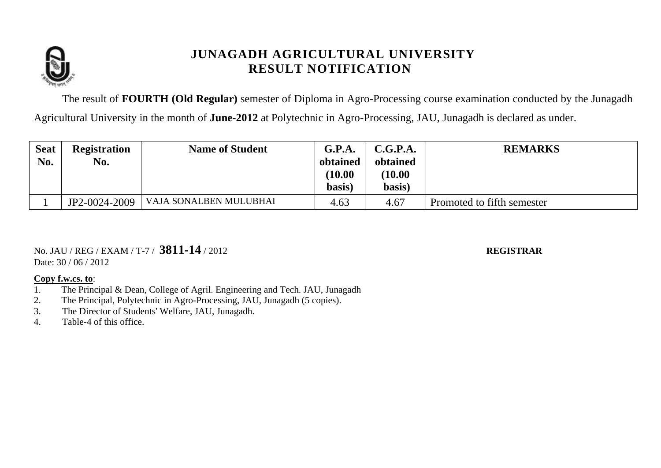

The result of **FOURTH (Old Regular)** semester of Diploma in Agro-Processing course examination conducted by the Junagadh Agricultural University in the month of **June-2012** at Polytechnic in Agro-Processing, JAU, Junagadh is declared as under.

| <b>Seat</b><br>No. | <b>Registration</b><br>No. | <b>Name of Student</b> | G.P.A.<br>obtained<br>(10.00)<br>basis) | C.G.P.A.<br>obtained<br>(10.00)<br>basis) | <b>REMARKS</b>             |
|--------------------|----------------------------|------------------------|-----------------------------------------|-------------------------------------------|----------------------------|
|                    | JP2-0024-2009              | VAJA SONALBEN MULUBHAI | 4.63                                    | 4.67                                      | Promoted to fifth semester |

No. JAU / REG / EXAM / T-7 / **3811-14** / 2012 **REGISTRAR**

Date:  $30 / 06 / 2012$ 

- 1. The Principal & Dean, College of Agril. Engineering and Tech. JAU, Junagadh
- 2. The Principal, Polytechnic in Agro-Processing, JAU, Junagadh (5 copies).
- 3. The Director of Students' Welfare, JAU, Junagadh.
- 4. Table-4 of this office.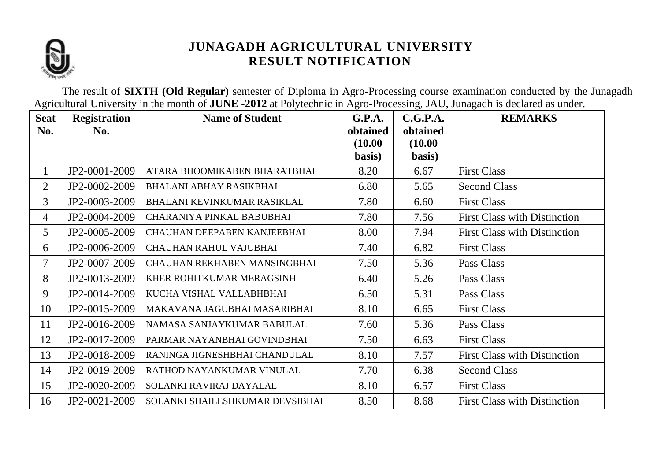

The result of **SIXTH (Old Regular)** semester of Diploma in Agro-Processing course examination conducted by the Junagadh Agricultural University in the month of **JUNE -2012** at Polytechnic in Agro-Processing, JAU, Junagadh is declared as under.

| <b>Seat</b>    | <b>Registration</b> | <b>Name of Student</b>          | G.P.A.   | C.G.P.A. | <b>REMARKS</b>                      |
|----------------|---------------------|---------------------------------|----------|----------|-------------------------------------|
| No.            | No.                 |                                 | obtained | obtained |                                     |
|                |                     |                                 | (10.00)  | (10.00)  |                                     |
|                |                     |                                 | basis)   | basis)   |                                     |
| $\mathbf{1}$   | JP2-0001-2009       | ATARA BHOOMIKABEN BHARATBHAI    | 8.20     | 6.67     | <b>First Class</b>                  |
| $\overline{2}$ | JP2-0002-2009       | <b>BHALANI ABHAY RASIKBHAI</b>  | 6.80     | 5.65     | <b>Second Class</b>                 |
| 3              | JP2-0003-2009       | BHALANI KEVINKUMAR RASIKLAL     | 7.80     | 6.60     | <b>First Class</b>                  |
| $\overline{4}$ | JP2-0004-2009       | CHARANIYA PINKAL BABUBHAI       | 7.80     | 7.56     | <b>First Class with Distinction</b> |
| 5              | JP2-0005-2009       | CHAUHAN DEEPABEN KANJEEBHAI     | 8.00     | 7.94     | <b>First Class with Distinction</b> |
| 6              | JP2-0006-2009       | <b>CHAUHAN RAHUL VAJUBHAI</b>   | 7.40     | 6.82     | <b>First Class</b>                  |
| $\tau$         | JP2-0007-2009       | CHAUHAN REKHABEN MANSINGBHAI    | 7.50     | 5.36     | Pass Class                          |
| 8              | JP2-0013-2009       | KHER ROHITKUMAR MERAGSINH       | 6.40     | 5.26     | Pass Class                          |
| 9              | JP2-0014-2009       | KUCHA VISHAL VALLABHBHAI        | 6.50     | 5.31     | Pass Class                          |
| 10             | JP2-0015-2009       | MAKAVANA JAGUBHAI MASARIBHAI    | 8.10     | 6.65     | <b>First Class</b>                  |
| 11             | JP2-0016-2009       | NAMASA SANJAYKUMAR BABULAL      | 7.60     | 5.36     | Pass Class                          |
| 12             | JP2-0017-2009       | PARMAR NAYANBHAI GOVINDBHAI     | 7.50     | 6.63     | <b>First Class</b>                  |
| 13             | JP2-0018-2009       | RANINGA JIGNESHBHAI CHANDULAL   | 8.10     | 7.57     | <b>First Class with Distinction</b> |
| 14             | JP2-0019-2009       | RATHOD NAYANKUMAR VINULAL       | 7.70     | 6.38     | <b>Second Class</b>                 |
| 15             | JP2-0020-2009       | SOLANKI RAVIRAJ DAYALAL         | 8.10     | 6.57     | <b>First Class</b>                  |
| 16             | JP2-0021-2009       | SOLANKI SHAILESHKUMAR DEVSIBHAI | 8.50     | 8.68     | <b>First Class with Distinction</b> |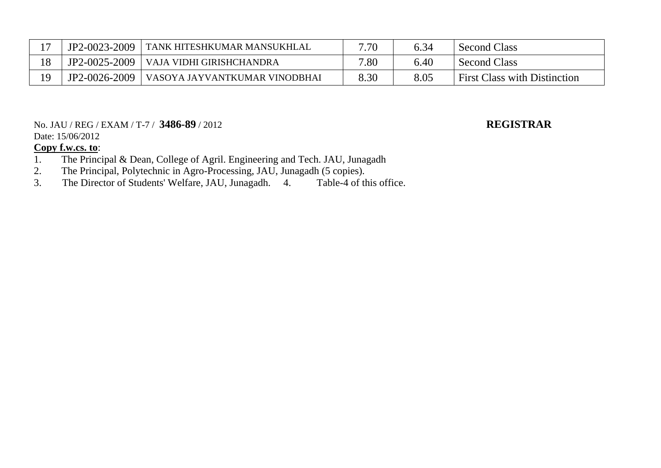| $\rightarrow$ | JP2-0023-2009 | TANK HITESHKUMAR MANSUKHLAL   | 7.70 | 6.34 | <b>Second Class</b>                 |
|---------------|---------------|-------------------------------|------|------|-------------------------------------|
| 18            | JP2-0025-2009 | VAJA VIDHI GIRISHCHANDRA      | 7.80 | 6.40 | <b>Second Class</b>                 |
| 10            | JP2-0026-2009 | VASOYA JAYVANTKUMAR VINODBHAI | 8.30 | 8.05 | <b>First Class with Distinction</b> |

### No. JAU / REG / EXAM / T-7 / **3486-89** / 2012 **REGISTRAR** Date: 15/06/2012

- 1. The Principal & Dean, College of Agril. Engineering and Tech. JAU, Junagadh 2. The Principal, Polytechnic in Agro-Processing, JAU, Junagadh (5 copies).
- The Principal, Polytechnic in Agro-Processing, JAU, Junagadh (5 copies).<br>The Director of Students' Welfare, JAU, Junagadh. 4. Table-4 of this office.
- 3. The Director of Students' Welfare, JAU, Junagadh. 4.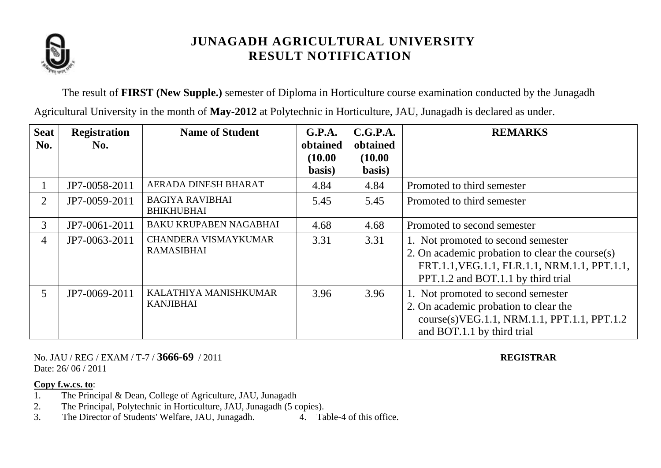

The result of **FIRST (New Supple.)** semester of Diploma in Horticulture course examination conducted by the Junagadh Agricultural University in the month of **May-2012** at Polytechnic in Horticulture, JAU, Junagadh is declared as under.

| <b>Seat</b><br>No. | <b>Registration</b><br>No. | <b>Name of Student</b>                      | G.P.A.<br>obtained | C.G.P.A.<br>obtained | <b>REMARKS</b>                                                                                                                                                              |
|--------------------|----------------------------|---------------------------------------------|--------------------|----------------------|-----------------------------------------------------------------------------------------------------------------------------------------------------------------------------|
|                    |                            |                                             | (10.00)            | (10.00)              |                                                                                                                                                                             |
|                    | JP7-0058-2011              | AERADA DINESH BHARAT                        | basis)<br>4.84     | basis)<br>4.84       | Promoted to third semester                                                                                                                                                  |
|                    |                            |                                             |                    |                      |                                                                                                                                                                             |
| $\overline{2}$     | JP7-0059-2011              | <b>BAGIYA RAVIBHAI</b><br><b>BHIKHUBHAI</b> | 5.45               | 5.45                 | Promoted to third semester                                                                                                                                                  |
| 3 <sup>1</sup>     | JP7-0061-2011              | <b>BAKU KRUPABEN NAGABHAI</b>               | 4.68               | 4.68                 | Promoted to second semester                                                                                                                                                 |
| 4                  | JP7-0063-2011              | CHANDERA VISMAYKUMAR<br><b>RAMASIBHAI</b>   | 3.31               | 3.31                 | 1. Not promoted to second semester<br>2. On academic probation to clear the course(s)<br>FRT.1.1, VEG.1.1, FLR.1.1, NRM.1.1, PPT.1.1,<br>PPT.1.2 and BOT.1.1 by third trial |
| 5 <sup>1</sup>     | JP7-0069-2011              | KALATHIYA MANISHKUMAR<br>KANJIBHAI          | 3.96               | 3.96                 | 1. Not promoted to second semester<br>2. On academic probation to clear the<br>course(s)VEG.1.1, NRM.1.1, PPT.1.1, PPT.1.2<br>and BOT.1.1 by third trial                    |

No. JAU / REG / EXAM / T-7 / **3666-69** / 2011 **REGISTRAR** Date: 26/06/2011

- 1. The Principal & Dean, College of Agriculture, JAU, Junagadh
- 2. The Principal, Polytechnic in Horticulture, JAU, Junagadh (5 copies).
- 3. The Director of Students' Welfare, JAU, Junagadh. 4. Table-4 of this office.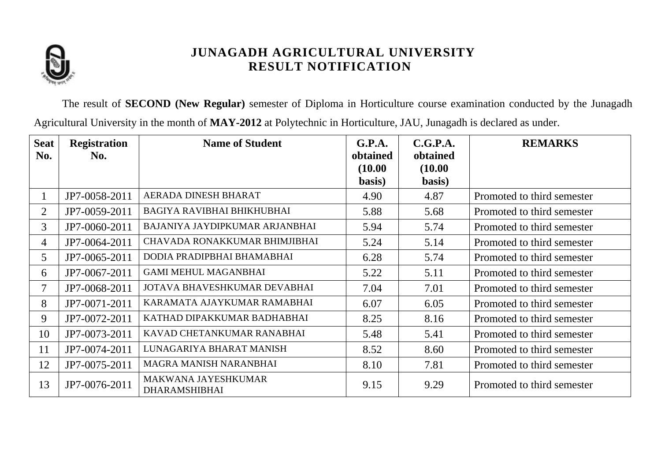

The result of **SECOND (New Regular)** semester of Diploma in Horticulture course examination conducted by the Junagadh Agricultural University in the month of **MAY-2012** at Polytechnic in Horticulture, JAU, Junagadh is declared as under.

| <b>Seat</b><br>No. | <b>Registration</b><br>No. | <b>Name of Student</b>                      | G.P.A.<br>obtained | C.G.P.A.<br>obtained | <b>REMARKS</b>             |
|--------------------|----------------------------|---------------------------------------------|--------------------|----------------------|----------------------------|
|                    |                            |                                             | (10.00)<br>basis)  | (10.00)<br>basis)    |                            |
|                    | JP7-0058-2011              | AERADA DINESH BHARAT                        | 4.90               | 4.87                 | Promoted to third semester |
| 2                  | JP7-0059-2011              | BAGIYA RAVIBHAI BHIKHUBHAI                  | 5.88               | 5.68                 | Promoted to third semester |
| $\overline{3}$     | JP7-0060-2011              | BAJANIYA JAYDIPKUMAR ARJANBHAI              | 5.94               | 5.74                 | Promoted to third semester |
| 4                  | JP7-0064-2011              | CHAVADA RONAKKUMAR BHIMJIBHAI               | 5.24               | 5.14                 | Promoted to third semester |
| 5                  | JP7-0065-2011              | DODIA PRADIPBHAI BHAMABHAI                  | 6.28               | 5.74                 | Promoted to third semester |
| 6                  | JP7-0067-2011              | <b>GAMI MEHUL MAGANBHAI</b>                 | 5.22               | 5.11                 | Promoted to third semester |
|                    | JP7-0068-2011              | JOTAVA BHAVESHKUMAR DEVABHAI                | 7.04               | 7.01                 | Promoted to third semester |
| 8                  | JP7-0071-2011              | KARAMATA AJAYKUMAR RAMABHAI                 | 6.07               | 6.05                 | Promoted to third semester |
| 9                  | JP7-0072-2011              | KATHAD DIPAKKUMAR BADHABHAI                 | 8.25               | 8.16                 | Promoted to third semester |
| 10                 | JP7-0073-2011              | KAVAD CHETANKUMAR RANABHAI                  | 5.48               | 5.41                 | Promoted to third semester |
| 11                 | JP7-0074-2011              | LUNAGARIYA BHARAT MANISH                    | 8.52               | 8.60                 | Promoted to third semester |
| 12                 | JP7-0075-2011              | MAGRA MANISH NARANBHAI                      | 8.10               | 7.81                 | Promoted to third semester |
| 13                 | JP7-0076-2011              | MAKWANA JAYESHKUMAR<br><b>DHARAMSHIBHAI</b> | 9.15               | 9.29                 | Promoted to third semester |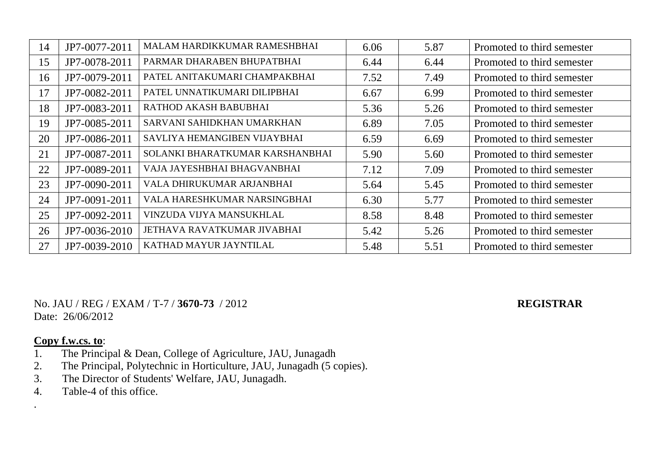| 14 | JP7-0077-2011 | MALAM HARDIKKUMAR RAMESHBHAI    | 6.06 | 5.87 | Promoted to third semester |
|----|---------------|---------------------------------|------|------|----------------------------|
| 15 | JP7-0078-2011 | PARMAR DHARABEN BHUPATBHAI      | 6.44 | 6.44 | Promoted to third semester |
| 16 | JP7-0079-2011 | PATEL ANITAKUMARI CHAMPAKBHAI   | 7.52 | 7.49 | Promoted to third semester |
| 17 | JP7-0082-2011 | PATEL UNNATIKUMARI DILIPBHAI    | 6.67 | 6.99 | Promoted to third semester |
| 18 | JP7-0083-2011 | RATHOD AKASH BABUBHAI           | 5.36 | 5.26 | Promoted to third semester |
| 19 | JP7-0085-2011 | SARVANI SAHIDKHAN UMARKHAN      | 6.89 | 7.05 | Promoted to third semester |
| 20 | JP7-0086-2011 | SAVLIYA HEMANGIBEN VIJAYBHAI    | 6.59 | 6.69 | Promoted to third semester |
| 21 | JP7-0087-2011 | SOLANKI BHARATKUMAR KARSHANBHAI | 5.90 | 5.60 | Promoted to third semester |
| 22 | JP7-0089-2011 | VAJA JAYESHBHAI BHAGVANBHAI     | 7.12 | 7.09 | Promoted to third semester |
| 23 | JP7-0090-2011 | VALA DHIRUKUMAR ARJANBHAI       | 5.64 | 5.45 | Promoted to third semester |
| 24 | JP7-0091-2011 | VALA HARESHKUMAR NARSINGBHAI    | 6.30 | 5.77 | Promoted to third semester |
| 25 | JP7-0092-2011 | VINZUDA VIJYA MANSUKHLAL        | 8.58 | 8.48 | Promoted to third semester |
| 26 | JP7-0036-2010 | JETHAVA RAVATKUMAR JIVABHAI     | 5.42 | 5.26 | Promoted to third semester |
| 27 | JP7-0039-2010 | KATHAD MAYUR JAYNTILAL          | 5.48 | 5.51 | Promoted to third semester |

No. JAU / REG / EXAM / T-7 / **3670-73** / 2012 **REGISTRAR** Date: 26/06/2012

### **Copy f.w.cs. to**:

.

- 1. The Principal & Dean, College of Agriculture, JAU, Junagadh
- 2. The Principal, Polytechnic in Horticulture, JAU, Junagadh (5 copies).
- 3. The Director of Students' Welfare, JAU, Junagadh.
- 4. Table-4 of this office.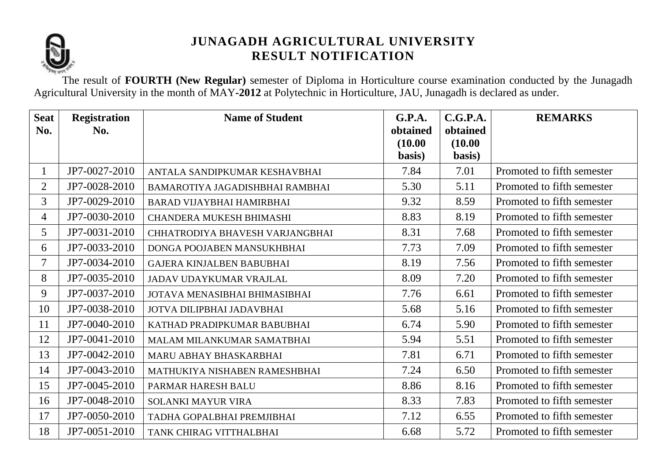

The result of **FOURTH (New Regular)** semester of Diploma in Horticulture course examination conducted by the Junagadh Agricultural University in the month of MAY**-2012** at Polytechnic in Horticulture, JAU, Junagadh is declared as under.

| <b>Seat</b>    | <b>Registration</b> | <b>Name of Student</b>           | G.P.A.              | C.G.P.A.            | <b>REMARKS</b>             |
|----------------|---------------------|----------------------------------|---------------------|---------------------|----------------------------|
| No.            | No.                 |                                  | obtained<br>(10.00) | obtained<br>(10.00) |                            |
|                |                     |                                  | basis)              | basis)              |                            |
| $\mathbf{1}$   | JP7-0027-2010       | ANTALA SANDIPKUMAR KESHAVBHAI    | 7.84                | 7.01                | Promoted to fifth semester |
| $\overline{2}$ | JP7-0028-2010       | BAMAROTIYA JAGADISHBHAI RAMBHAI  | 5.30                | 5.11                | Promoted to fifth semester |
| $\overline{3}$ | JP7-0029-2010       | <b>BARAD VIJAYBHAI HAMIRBHAI</b> | 9.32                | 8.59                | Promoted to fifth semester |
| $\overline{4}$ | JP7-0030-2010       | <b>CHANDERA MUKESH BHIMASHI</b>  | 8.83                | 8.19                | Promoted to fifth semester |
| 5              | JP7-0031-2010       | CHHATRODIYA BHAVESH VARJANGBHAI  | 8.31                | 7.68                | Promoted to fifth semester |
| 6              | JP7-0033-2010       | DONGA POOJABEN MANSUKHBHAI       | 7.73                | 7.09                | Promoted to fifth semester |
| $\overline{7}$ | JP7-0034-2010       | <b>GAJERA KINJALBEN BABUBHAI</b> | 8.19                | 7.56                | Promoted to fifth semester |
| 8              | JP7-0035-2010       | JADAV UDAYKUMAR VRAJLAL          | 8.09                | 7.20                | Promoted to fifth semester |
| 9              | JP7-0037-2010       | JOTAVA MENASIBHAI BHIMASIBHAI    | 7.76                | 6.61                | Promoted to fifth semester |
| 10             | JP7-0038-2010       | JOTVA DILIPBHAI JADAVBHAI        | 5.68                | 5.16                | Promoted to fifth semester |
| 11             | JP7-0040-2010       | KATHAD PRADIPKUMAR BABUBHAI      | 6.74                | 5.90                | Promoted to fifth semester |
| 12             | JP7-0041-2010       | MALAM MILANKUMAR SAMATBHAI       | 5.94                | 5.51                | Promoted to fifth semester |
| 13             | JP7-0042-2010       | MARU ABHAY BHASKARBHAI           | 7.81                | 6.71                | Promoted to fifth semester |
| 14             | JP7-0043-2010       | MATHUKIYA NISHABEN RAMESHBHAI    | 7.24                | 6.50                | Promoted to fifth semester |
| 15             | JP7-0045-2010       | PARMAR HARESH BALU               | 8.86                | 8.16                | Promoted to fifth semester |
| 16             | JP7-0048-2010       | <b>SOLANKI MAYUR VIRA</b>        | 8.33                | 7.83                | Promoted to fifth semester |
| 17             | JP7-0050-2010       | TADHA GOPALBHAI PREMJIBHAI       | 7.12                | 6.55                | Promoted to fifth semester |
| 18             | JP7-0051-2010       | TANK CHIRAG VITTHALBHAI          | 6.68                | 5.72                | Promoted to fifth semester |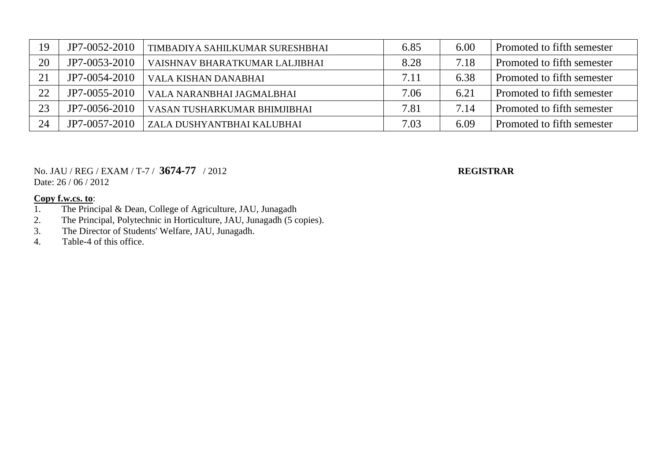| 19 | JP7-0052-2010 | TIMBADIYA SAHILKUMAR SURESHBHAI | 6.85 | 6.00 | Promoted to fifth semester |
|----|---------------|---------------------------------|------|------|----------------------------|
| 20 | JP7-0053-2010 | VAISHNAV BHARATKUMAR LALJIBHAI  | 8.28 | 7.18 | Promoted to fifth semester |
| 21 | JP7-0054-2010 | VALA KISHAN DANABHAI            | 7.11 | 6.38 | Promoted to fifth semester |
| 22 | JP7-0055-2010 | VALA NARANBHAI JAGMALBHAI       | 7.06 | 6.21 | Promoted to fifth semester |
| 23 | JP7-0056-2010 | VASAN TUSHARKUMAR BHIMJIBHAI    | 7.81 | 7.14 | Promoted to fifth semester |
| 24 | JP7-0057-2010 | ZALA DUSHYANTBHAI KALUBHAI      | 7.03 | 6.09 | Promoted to fifth semester |

### No. JAU / REG / EXAM / T-7 / **3674-77** / 2012 **REGISTRAR** Date: 26 / 06 / 2012

- 1. The Principal & Dean, College of Agriculture, JAU, Junagadh
- 2. The Principal, Polytechnic in Horticulture, JAU, Junagadh (5 copies).
- 3. The Director of Students' Welfare, JAU, Junagadh.
- 4. Table-4 of this office.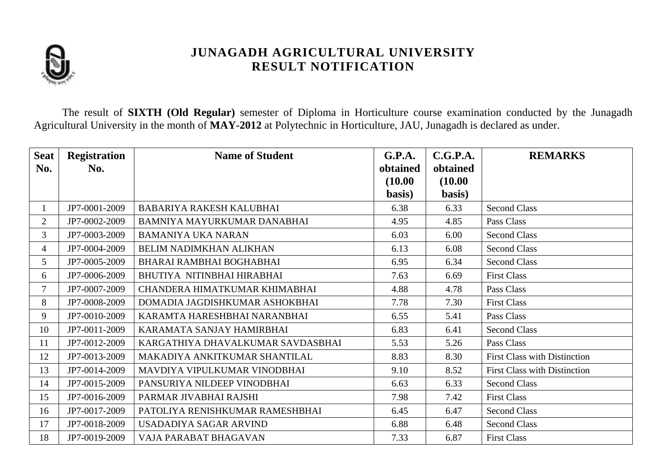

The result of **SIXTH (Old Regular)** semester of Diploma in Horticulture course examination conducted by the Junagadh Agricultural University in the month of **MAY-2012** at Polytechnic in Horticulture, JAU, Junagadh is declared as under.

| <b>Seat</b>    | <b>Registration</b> | <b>Name of Student</b>            | G.P.A.   | C.G.P.A. | <b>REMARKS</b>                      |
|----------------|---------------------|-----------------------------------|----------|----------|-------------------------------------|
| No.            | No.                 |                                   | obtained | obtained |                                     |
|                |                     |                                   | (10.00)  | (10.00)  |                                     |
|                |                     |                                   | basis)   | basis)   |                                     |
|                | JP7-0001-2009       | BABARIYA RAKESH KALUBHAI          | 6.38     | 6.33     | <b>Second Class</b>                 |
| $\overline{2}$ | JP7-0002-2009       | BAMNIYA MAYURKUMAR DANABHAI       | 4.95     | 4.85     | Pass Class                          |
| $\overline{3}$ | JP7-0003-2009       | <b>BAMANIYA UKA NARAN</b>         | 6.03     | 6.00     | <b>Second Class</b>                 |
| $\overline{4}$ | JP7-0004-2009       | BELIM NADIMKHAN ALIKHAN           | 6.13     | 6.08     | <b>Second Class</b>                 |
| 5              | JP7-0005-2009       | BHARAI RAMBHAI BOGHABHAI          | 6.95     | 6.34     | <b>Second Class</b>                 |
| 6              | JP7-0006-2009       | BHUTIYA NITINBHAI HIRABHAI        | 7.63     | 6.69     | <b>First Class</b>                  |
| 7              | JP7-0007-2009       | CHANDERA HIMATKUMAR KHIMABHAI     | 4.88     | 4.78     | Pass Class                          |
| 8              | JP7-0008-2009       | DOMADIA JAGDISHKUMAR ASHOKBHAI    | 7.78     | 7.30     | <b>First Class</b>                  |
| 9              | JP7-0010-2009       | KARAMTA HARESHBHAI NARANBHAI      | 6.55     | 5.41     | Pass Class                          |
| 10             | JP7-0011-2009       | KARAMATA SANJAY HAMIRBHAI         | 6.83     | 6.41     | <b>Second Class</b>                 |
| 11             | JP7-0012-2009       | KARGATHIYA DHAVALKUMAR SAVDASBHAI | 5.53     | 5.26     | Pass Class                          |
| 12             | JP7-0013-2009       | MAKADIYA ANKITKUMAR SHANTILAL     | 8.83     | 8.30     | <b>First Class with Distinction</b> |
| 13             | JP7-0014-2009       | MAVDIYA VIPULKUMAR VINODBHAI      | 9.10     | 8.52     | <b>First Class with Distinction</b> |
| 14             | JP7-0015-2009       | PANSURIYA NILDEEP VINODBHAI       | 6.63     | 6.33     | <b>Second Class</b>                 |
| 15             | JP7-0016-2009       | PARMAR JIVABHAI RAJSHI            | 7.98     | 7.42     | <b>First Class</b>                  |
| 16             | JP7-0017-2009       | PATOLIYA RENISHKUMAR RAMESHBHAI   | 6.45     | 6.47     | <b>Second Class</b>                 |
| 17             | JP7-0018-2009       | USADADIYA SAGAR ARVIND            | 6.88     | 6.48     | <b>Second Class</b>                 |
| 18             | JP7-0019-2009       | VAJA PARABAT BHAGAVAN             | 7.33     | 6.87     | <b>First Class</b>                  |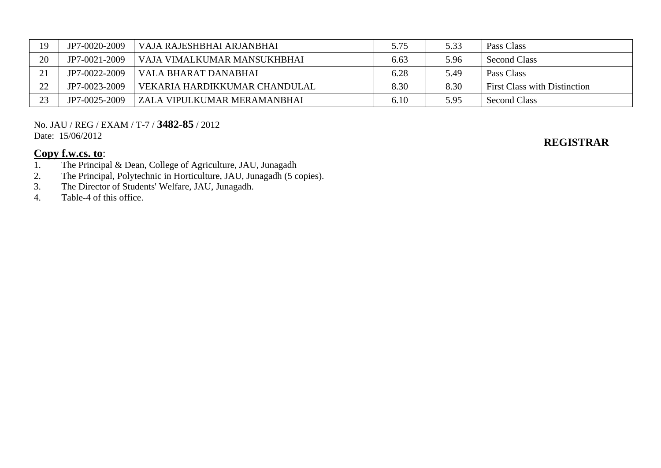| 19 | JP7-0020-2009 | VAJA RAJESHBHAI ARJANBHAI     | 5.75 | 5.33 | Pass Class                          |
|----|---------------|-------------------------------|------|------|-------------------------------------|
| 20 | JP7-0021-2009 | VAJA VIMALKUMAR MANSUKHBHAI   | 6.63 | 5.96 | Second Class                        |
| 21 | JP7-0022-2009 | VALA BHARAT DANABHAI          | 6.28 | 5.49 | Pass Class                          |
| 22 | JP7-0023-2009 | VEKARIA HARDIKKUMAR CHANDULAL | 8.30 | 8.30 | <b>First Class with Distinction</b> |
| 23 | JP7-0025-2009 | ZALA VIPULKUMAR MERAMANBHAI   | 6.10 | 5.95 | <b>Second Class</b>                 |

No. JAU / REG / EXAM / T-7 / **3482-85** / 2012 Date: 15/06/2012

# **Copy f.w.cs. to:**<br>1. The Principa

- 1. The Principal & Dean, College of Agriculture, JAU, Junagadh<br>2. The Principal, Polytechnic in Horticulture, JAU, Junagadh (5 co
- 2. The Principal, Polytechnic in Horticulture, JAU, Junagadh (5 copies).<br>
3. The Director of Students' Welfare, JAU, Junagadh.
- The Director of Students' Welfare, JAU, Junagadh.
- 4. Table-4 of this office.

### **REGISTRAR**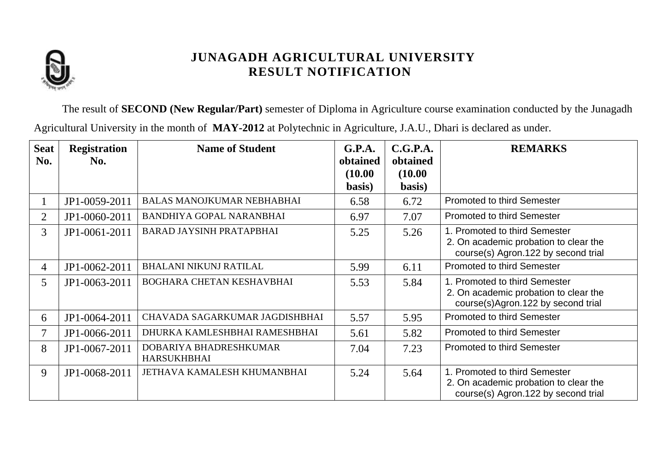

The result of **SECOND (New Regular/Part)** semester of Diploma in Agriculture course examination conducted by the Junagadh

Agricultural University in the month of **MAY-2012** at Polytechnic in Agriculture, J.A.U., Dhari is declared as under.

| <b>Seat</b><br>No. | <b>Registration</b><br>No. | <b>Name of Student</b>                       | G.P.A.<br>obtained | C.G.P.A.<br>obtained | <b>REMARKS</b>                                                                                                |
|--------------------|----------------------------|----------------------------------------------|--------------------|----------------------|---------------------------------------------------------------------------------------------------------------|
|                    |                            |                                              | (10.00)<br>basis)  | (10.00)<br>basis)    |                                                                                                               |
|                    | JP1-0059-2011              | <b>BALAS MANOJKUMAR NEBHABHAI</b>            | 6.58               | 6.72                 | <b>Promoted to third Semester</b>                                                                             |
| 2                  | JP1-0060-2011              | <b>BANDHIYA GOPAL NARANBHAI</b>              | 6.97               | 7.07                 | <b>Promoted to third Semester</b>                                                                             |
| 3                  | JP1-0061-2011              | <b>BARAD JAYSINH PRATAPBHAI</b>              | 5.25               | 5.26                 | 1. Promoted to third Semester<br>2. On academic probation to clear the<br>course(s) Agron.122 by second trial |
| $\overline{4}$     | JP1-0062-2011              | <b>BHALANI NIKUNJ RATILAL</b>                | 5.99               | 6.11                 | <b>Promoted to third Semester</b>                                                                             |
| 5                  | JP1-0063-2011              | BOGHARA CHETAN KESHAVBHAI                    | 5.53               | 5.84                 | 1. Promoted to third Semester<br>2. On academic probation to clear the<br>course(s)Agron.122 by second trial  |
| 6                  | JP1-0064-2011              | CHAVADA SAGARKUMAR JAGDISHBHAI               | 5.57               | 5.95                 | <b>Promoted to third Semester</b>                                                                             |
| 7                  | JP1-0066-2011              | DHURKA KAMLESHBHAI RAMESHBHAI                | 5.61               | 5.82                 | <b>Promoted to third Semester</b>                                                                             |
| 8                  | JP1-0067-2011              | DOBARIYA BHADRESHKUMAR<br><b>HARSUKHBHAI</b> | 7.04               | 7.23                 | <b>Promoted to third Semester</b>                                                                             |
| 9                  | JP1-0068-2011              | JETHAVA KAMALESH KHUMANBHAI                  | 5.24               | 5.64                 | 1. Promoted to third Semester<br>2. On academic probation to clear the<br>course(s) Agron.122 by second trial |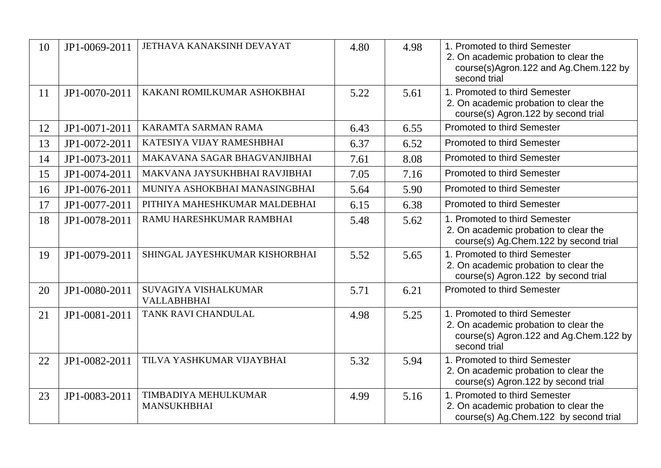| 10 | JP1-0069-2011 | JETHAVA KANAKSINH DEVAYAT                  | 4.80 | 4.98 | 1. Promoted to third Semester<br>2. On academic probation to clear the<br>course(s)Agron.122 and Ag.Chem.122 by<br>second trial  |
|----|---------------|--------------------------------------------|------|------|----------------------------------------------------------------------------------------------------------------------------------|
| 11 | JP1-0070-2011 | KAKANI ROMILKUMAR ASHOKBHAI                | 5.22 | 5.61 | 1. Promoted to third Semester<br>2. On academic probation to clear the<br>course(s) Agron.122 by second trial                    |
| 12 | JP1-0071-2011 | KARAMTA SARMAN RAMA                        | 6.43 | 6.55 | <b>Promoted to third Semester</b>                                                                                                |
| 13 | JP1-0072-2011 | KATESIYA VIJAY RAMESHBHAI                  | 6.37 | 6.52 | <b>Promoted to third Semester</b>                                                                                                |
| 14 | JP1-0073-2011 | MAKAVANA SAGAR BHAGVANJIBHAI               | 7.61 | 8.08 | <b>Promoted to third Semester</b>                                                                                                |
| 15 | JP1-0074-2011 | MAKVANA JAYSUKHBHAI RAVJIBHAI              | 7.05 | 7.16 | <b>Promoted to third Semester</b>                                                                                                |
| 16 | JP1-0076-2011 | MUNIYA ASHOKBHAI MANASINGBHAI              | 5.64 | 5.90 | <b>Promoted to third Semester</b>                                                                                                |
| 17 | JP1-0077-2011 | PITHIYA MAHESHKUMAR MALDEBHAI              | 6.15 | 6.38 | <b>Promoted to third Semester</b>                                                                                                |
| 18 | JP1-0078-2011 | RAMU HARESHKUMAR RAMBHAI                   | 5.48 | 5.62 | 1. Promoted to third Semester<br>2. On academic probation to clear the<br>course(s) Ag.Chem.122 by second trial                  |
| 19 | JP1-0079-2011 | SHINGAL JAYESHKUMAR KISHORBHAI             | 5.52 | 5.65 | 1. Promoted to third Semester<br>2. On academic probation to clear the<br>course(s) Agron.122 by second trial                    |
| 20 | JP1-0080-2011 | SUVAGIYA VISHALKUMAR<br><b>VALLABHBHAI</b> | 5.71 | 6.21 | <b>Promoted to third Semester</b>                                                                                                |
| 21 | JP1-0081-2011 | TANK RAVI CHANDULAL                        | 4.98 | 5.25 | 1. Promoted to third Semester<br>2. On academic probation to clear the<br>course(s) Agron.122 and Ag.Chem.122 by<br>second trial |
| 22 | JP1-0082-2011 | TILVA YASHKUMAR VIJAYBHAI                  | 5.32 | 5.94 | 1. Promoted to third Semester<br>2. On academic probation to clear the<br>course(s) Agron.122 by second trial                    |
| 23 | JP1-0083-2011 | TIMBADIYA MEHULKUMAR<br><b>MANSUKHBHAI</b> | 4.99 | 5.16 | 1. Promoted to third Semester<br>2. On academic probation to clear the<br>course(s) Ag.Chem.122 by second trial                  |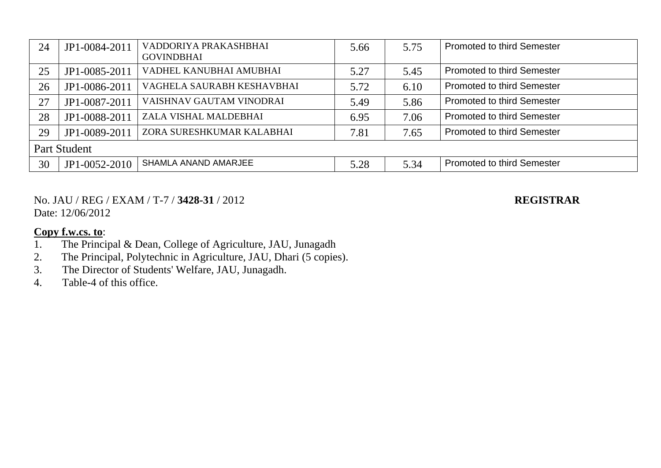| 24 | JP1-0084-2011 | VADDORIYA PRAKASHBHAI<br><b>GOVINDBHAI</b> | 5.66 | 5.75 | <b>Promoted to third Semester</b> |  |  |  |
|----|---------------|--------------------------------------------|------|------|-----------------------------------|--|--|--|
| 25 | JP1-0085-2011 | VADHEL KANUBHAI AMUBHAI                    | 5.27 | 5.45 | <b>Promoted to third Semester</b> |  |  |  |
| 26 | JP1-0086-2011 | VAGHELA SAURABH KESHAVBHAI                 | 5.72 | 6.10 | <b>Promoted to third Semester</b> |  |  |  |
| 27 | JP1-0087-2011 | VAISHNAV GAUTAM VINODRAI                   | 5.49 | 5.86 | <b>Promoted to third Semester</b> |  |  |  |
| 28 | JP1-0088-2011 | ZALA VISHAL MALDEBHAI                      | 6.95 | 7.06 | <b>Promoted to third Semester</b> |  |  |  |
| 29 | JP1-0089-2011 | ZORA SURESHKUMAR KALABHAI                  | 7.81 | 7.65 | <b>Promoted to third Semester</b> |  |  |  |
|    | Part Student  |                                            |      |      |                                   |  |  |  |
| 30 | JP1-0052-2010 | SHAMLA ANAND AMARJEE                       | 5.28 | 5.34 | <b>Promoted to third Semester</b> |  |  |  |

No. JAU / REG / EXAM / T-7 / **3428-31** / 2012 **REGISTRAR** Date: 12/06/2012

- 1. The Principal & Dean, College of Agriculture, JAU, Junagadh
- 2. The Principal, Polytechnic in Agriculture, JAU, Dhari (5 copies).
- 3. The Director of Students' Welfare, JAU, Junagadh.
- 4. Table-4 of this office.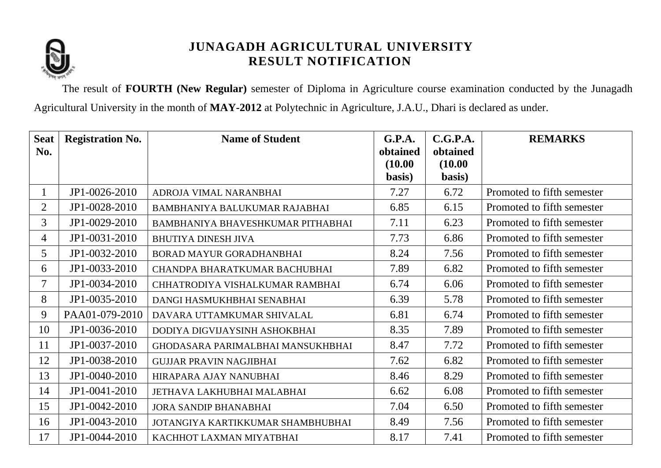

The result of **FOURTH (New Regular)** semester of Diploma in Agriculture course examination conducted by the Junagadh Agricultural University in the month of **MAY-2012** at Polytechnic in Agriculture, J.A.U., Dhari is declared as under.

| <b>Seat</b>    | <b>Registration No.</b> | <b>Name of Student</b>                   | G.P.A.            | C.G.P.A.          | <b>REMARKS</b>             |
|----------------|-------------------------|------------------------------------------|-------------------|-------------------|----------------------------|
| No.            |                         |                                          | obtained          | obtained          |                            |
|                |                         |                                          | (10.00)<br>basis) | (10.00)<br>basis) |                            |
| 1              | JP1-0026-2010           | ADROJA VIMAL NARANBHAI                   | 7.27              | 6.72              | Promoted to fifth semester |
| $\overline{2}$ | JP1-0028-2010           | BAMBHANIYA BALUKUMAR RAJABHAI            | 6.85              | 6.15              | Promoted to fifth semester |
| 3              | JP1-0029-2010           | BAMBHANIYA BHAVESHKUMAR PITHABHAI        | 7.11              | 6.23              | Promoted to fifth semester |
| 4              | JP1-0031-2010           | <b>BHUTIYA DINESH JIVA</b>               | 7.73              | 6.86              | Promoted to fifth semester |
| 5              | JP1-0032-2010           | BORAD MAYUR GORADHANBHAI                 | 8.24              | 7.56              | Promoted to fifth semester |
| 6              | JP1-0033-2010           | CHANDPA BHARATKUMAR BACHUBHAI            | 7.89              | 6.82              | Promoted to fifth semester |
| 7              | JP1-0034-2010           | CHHATRODIYA VISHALKUMAR RAMBHAI          | 6.74              | 6.06              | Promoted to fifth semester |
| 8              | JP1-0035-2010           | DANGI HASMUKHBHAI SENABHAI               | 6.39              | 5.78              | Promoted to fifth semester |
| 9              | PAA01-079-2010          | DAVARA UTTAMKUMAR SHIVALAL               | 6.81              | 6.74              | Promoted to fifth semester |
| 10             | JP1-0036-2010           | DODIYA DIGVIJAYSINH ASHOKBHAI            | 8.35              | 7.89              | Promoted to fifth semester |
| 11             | JP1-0037-2010           | <b>GHODASARA PARIMALBHAI MANSUKHBHAI</b> | 8.47              | 7.72              | Promoted to fifth semester |
| 12             | JP1-0038-2010           | <b>GUJJAR PRAVIN NAGJIBHAI</b>           | 7.62              | 6.82              | Promoted to fifth semester |
| 13             | JP1-0040-2010           | HIRAPARA AJAY NANUBHAI                   | 8.46              | 8.29              | Promoted to fifth semester |
| 14             | JP1-0041-2010           | <b>JETHAVA LAKHUBHAI MALABHAI</b>        | 6.62              | 6.08              | Promoted to fifth semester |
| 15             | JP1-0042-2010           | <b>JORA SANDIP BHANABHAI</b>             | 7.04              | 6.50              | Promoted to fifth semester |
| 16             | JP1-0043-2010           | JOTANGIYA KARTIKKUMAR SHAMBHUBHAI        | 8.49              | 7.56              | Promoted to fifth semester |
| 17             | JP1-0044-2010           | KACHHOT LAXMAN MIYATBHAI                 | 8.17              | 7.41              | Promoted to fifth semester |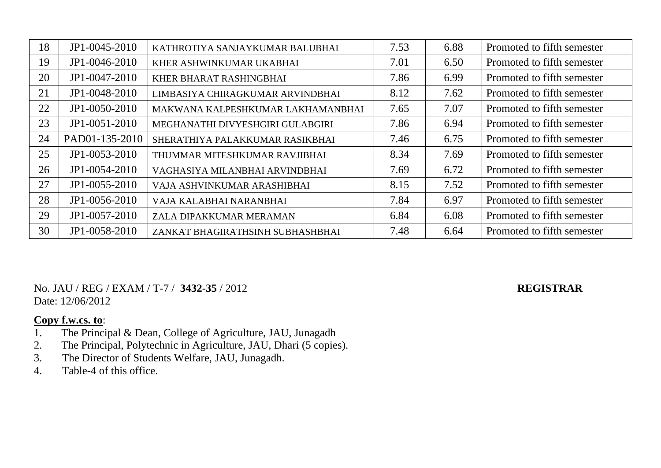| 18 | JP1-0045-2010   | KATHROTIYA SANJAYKUMAR BALUBHAI   | 7.53 | 6.88 | Promoted to fifth semester |
|----|-----------------|-----------------------------------|------|------|----------------------------|
| 19 | JP1-0046-2010   | KHER ASHWINKUMAR UKABHAI          | 7.01 | 6.50 | Promoted to fifth semester |
| 20 | JP1-0047-2010   | KHER BHARAT RASHINGBHAI           | 7.86 | 6.99 | Promoted to fifth semester |
| 21 | JP1-0048-2010   | LIMBASIYA CHIRAGKUMAR ARVINDBHAI  | 8.12 | 7.62 | Promoted to fifth semester |
| 22 | JP1-0050-2010   | MAKWANA KALPESHKUMAR LAKHAMANBHAI | 7.65 | 7.07 | Promoted to fifth semester |
| 23 | JP1-0051-2010   | MEGHANATHI DIVYESHGIRI GULABGIRI  | 7.86 | 6.94 | Promoted to fifth semester |
| 24 | PAD01-135-2010  | SHERATHIYA PALAKKUMAR RASIKBHAI   | 7.46 | 6.75 | Promoted to fifth semester |
| 25 | JP1-0053-2010   | THUMMAR MITESHKUMAR RAVJIBHAI     | 8.34 | 7.69 | Promoted to fifth semester |
| 26 | JP1-0054-2010   | VAGHASIYA MILANBHAI ARVINDBHAI    | 7.69 | 6.72 | Promoted to fifth semester |
| 27 | $JP1-0055-2010$ | VAJA ASHVINKUMAR ARASHIBHAI       | 8.15 | 7.52 | Promoted to fifth semester |
| 28 | JP1-0056-2010   | VAJA KALABHAI NARANBHAI           | 7.84 | 6.97 | Promoted to fifth semester |
| 29 | JP1-0057-2010   | ZALA DIPAKKUMAR MERAMAN           | 6.84 | 6.08 | Promoted to fifth semester |
| 30 | JP1-0058-2010   | ZANKAT BHAGIRATHSINH SUBHASHBHAI  | 7.48 | 6.64 | Promoted to fifth semester |

No. JAU / REG / EXAM / T-7 / **3432-35** / 2012 **REGISTRAR** Date: 12/06/2012

- 1. The Principal & Dean, College of Agriculture, JAU, Junagadh
- 2. The Principal, Polytechnic in Agriculture, JAU, Dhari (5 copies).
- 3. The Director of Students Welfare, JAU, Junagadh.
- 4. Table-4 of this office.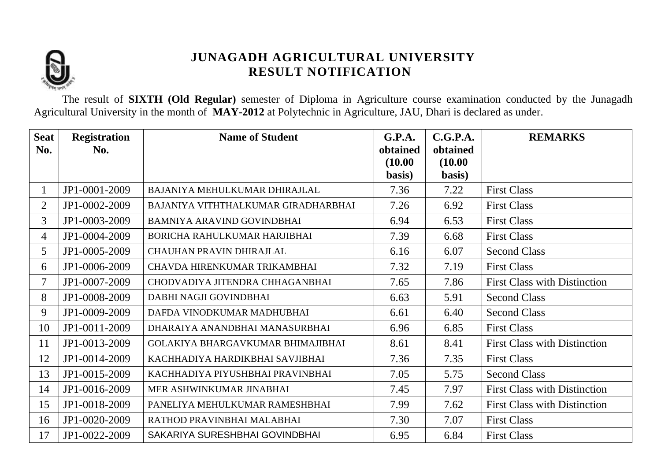

The result of **SIXTH (Old Regular)** semester of Diploma in Agriculture course examination conducted by the Junagadh Agricultural University in the month of **MAY-2012** at Polytechnic in Agriculture, JAU, Dhari is declared as under.

| <b>Seat</b>    | <b>Registration</b> | <b>Name of Student</b>              | <b>G.P.A.</b>       | C.G.P.A.            | <b>REMARKS</b>                      |
|----------------|---------------------|-------------------------------------|---------------------|---------------------|-------------------------------------|
| No.            | No.                 |                                     | obtained<br>(10.00) | obtained<br>(10.00) |                                     |
|                |                     |                                     | basis)              | basis)              |                                     |
| $\mathbf{1}$   | JP1-0001-2009       | BAJANIYA MEHULKUMAR DHIRAJLAL       | 7.36                | 7.22                | <b>First Class</b>                  |
| $\overline{2}$ | JP1-0002-2009       | BAJANIYA VITHTHALKUMAR GIRADHARBHAI | 7.26                | 6.92                | <b>First Class</b>                  |
| 3              | JP1-0003-2009       | BAMNIYA ARAVIND GOVINDBHAI          | 6.94                | 6.53                | <b>First Class</b>                  |
| 4              | JP1-0004-2009       | BORICHA RAHULKUMAR HARJIBHAI        | 7.39                | 6.68                | <b>First Class</b>                  |
| 5              | JP1-0005-2009       | <b>CHAUHAN PRAVIN DHIRAJLAL</b>     | 6.16                | 6.07                | <b>Second Class</b>                 |
| 6              | JP1-0006-2009       | CHAVDA HIRENKUMAR TRIKAMBHAI        | 7.32                | 7.19                | <b>First Class</b>                  |
| $\overline{7}$ | JP1-0007-2009       | CHODVADIYA JITENDRA CHHAGANBHAI     | 7.65                | 7.86                | <b>First Class with Distinction</b> |
| 8              | JP1-0008-2009       | DABHI NAGJI GOVINDBHAI              | 6.63                | 5.91                | <b>Second Class</b>                 |
| 9              | JP1-0009-2009       | DAFDA VINODKUMAR MADHUBHAI          | 6.61                | 6.40                | <b>Second Class</b>                 |
| 10             | JP1-0011-2009       | DHARAIYA ANANDBHAI MANASURBHAI      | 6.96                | 6.85                | <b>First Class</b>                  |
| 11             | JP1-0013-2009       | GOLAKIYA BHARGAVKUMAR BHIMAJIBHAI   | 8.61                | 8.41                | <b>First Class with Distinction</b> |
| 12             | JP1-0014-2009       | KACHHADIYA HARDIKBHAI SAVJIBHAI     | 7.36                | 7.35                | <b>First Class</b>                  |
| 13             | JP1-0015-2009       | KACHHADIYA PIYUSHBHAI PRAVINBHAI    | 7.05                | 5.75                | <b>Second Class</b>                 |
| 14             | JP1-0016-2009       | MER ASHWINKUMAR JINABHAI            | 7.45                | 7.97                | <b>First Class with Distinction</b> |
| 15             | JP1-0018-2009       | PANELIYA MEHULKUMAR RAMESHBHAI      | 7.99                | 7.62                | <b>First Class with Distinction</b> |
| 16             | JP1-0020-2009       | RATHOD PRAVINBHAI MALABHAI          | 7.30                | 7.07                | <b>First Class</b>                  |
| 17             | JP1-0022-2009       | SAKARIYA SURESHBHAI GOVINDBHAI      | 6.95                | 6.84                | <b>First Class</b>                  |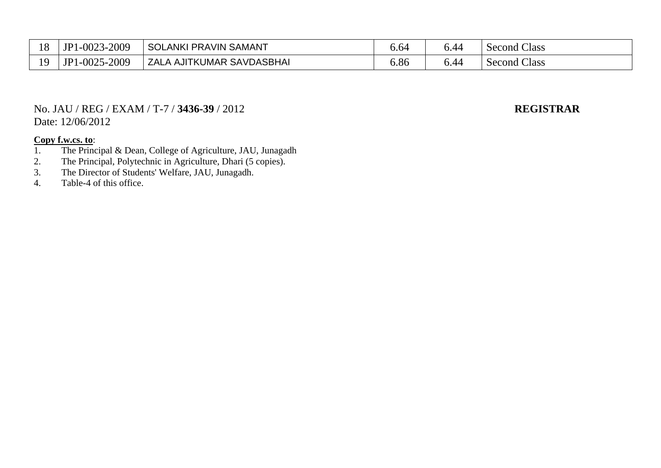| 18                  | 1-0023-2009<br>JP                | <b>SOLANKI</b><br>I PRAVIN SAMANT | ა.ხ⊿             | 44.ر | Class<br>Second |
|---------------------|----------------------------------|-----------------------------------|------------------|------|-----------------|
| 1 <sub>O</sub><br>∸ | -2009<br>JP<br>1-0025<br>$1 - 7$ | LA AJITKUMAR SAVDASBHAI<br>ZAL    | $\Omega$<br>0.00 | J.44 | Class<br>Second |

### No. JAU / REG / EXAM / T-7 / **3436-39** / 2012 **REGISTRAR** Date: 12/06/2012

- 1. The Principal & Dean, College of Agriculture, JAU, Junagadh
- 2. The Principal, Polytechnic in Agriculture, Dhari (5 copies).
- 3. The Director of Students' Welfare, JAU, Junagadh.
- 4. Table-4 of this office.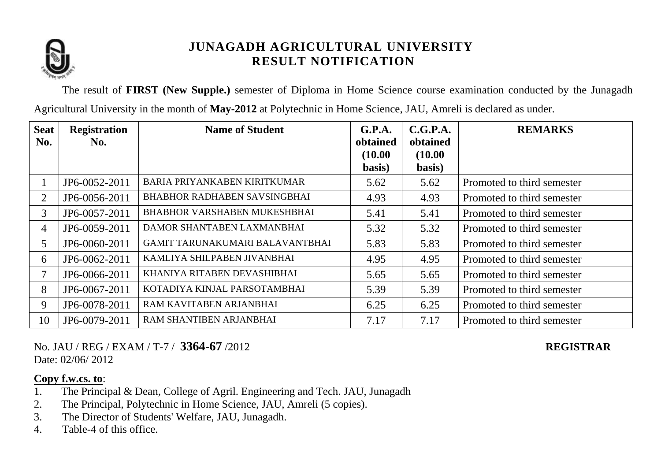

The result of **FIRST (New Supple.)** semester of Diploma in Home Science course examination conducted by the Junagadh Agricultural University in the month of **May-2012** at Polytechnic in Home Science, JAU, Amreli is declared as under.

| <b>Seat</b> | <b>Registration</b> | <b>Name of Student</b>              | G.P.A.              | C.G.P.A.            | <b>REMARKS</b>             |
|-------------|---------------------|-------------------------------------|---------------------|---------------------|----------------------------|
| No.         | No.                 |                                     | obtained<br>(10.00) | obtained<br>(10.00) |                            |
|             |                     |                                     | basis)              | basis)              |                            |
|             | JP6-0052-2011       | BARIA PRIYANKABEN KIRITKUMAR        | 5.62                | 5.62                | Promoted to third semester |
| 2           | JP6-0056-2011       | <b>BHABHOR RADHABEN SAVSINGBHAI</b> | 4.93                | 4.93                | Promoted to third semester |
| 3           | JP6-0057-2011       | <b>BHABHOR VARSHABEN MUKESHBHAI</b> | 5.41                | 5.41                | Promoted to third semester |
| 4           | JP6-0059-2011       | DAMOR SHANTABEN LAXMANBHAI          | 5.32                | 5.32                | Promoted to third semester |
| 5           | JP6-0060-2011       | GAMIT TARUNAKUMARI BALAVANTBHAI     | 5.83                | 5.83                | Promoted to third semester |
| 6           | JP6-0062-2011       | KAMLIYA SHILPABEN JIVANBHAI         | 4.95                | 4.95                | Promoted to third semester |
| $\tau$      | JP6-0066-2011       | KHANIYA RITABEN DEVASHIBHAI         | 5.65                | 5.65                | Promoted to third semester |
| 8           | JP6-0067-2011       | KOTADIYA KINJAL PARSOTAMBHAI        | 5.39                | 5.39                | Promoted to third semester |
| 9           | JP6-0078-2011       | RAM KAVITABEN ARJANBHAI             | 6.25                | 6.25                | Promoted to third semester |
| 10          | JP6-0079-2011       | RAM SHANTIBEN ARJANBHAI             | 7.17                | 7.17                | Promoted to third semester |

No. JAU / REG / EXAM / T-7 / **3364-67** /2012 **REGISTRAR** Date: 02/06/2012

- 1. The Principal & Dean, College of Agril. Engineering and Tech. JAU, Junagadh
- 2. The Principal, Polytechnic in Home Science, JAU, Amreli (5 copies).
- 3. The Director of Students' Welfare, JAU, Junagadh.
- 4. Table-4 of this office.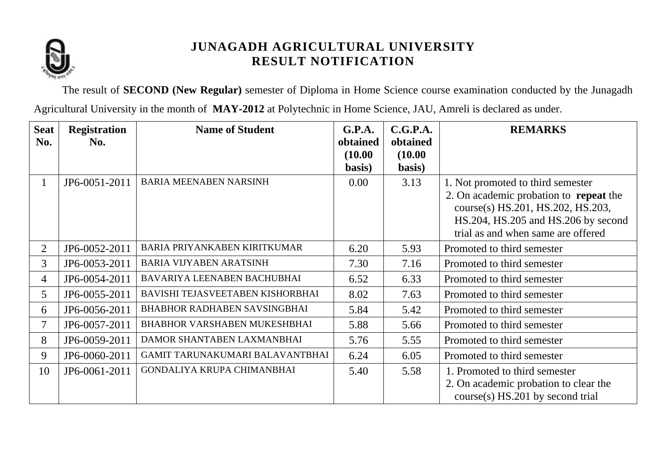

The result of **SECOND (New Regular)** semester of Diploma in Home Science course examination conducted by the Junagadh

Agricultural University in the month of **MAY-2012** at Polytechnic in Home Science, JAU, Amreli is declared as under.

| <b>Seat</b>    | <b>Registration</b> | <b>Name of Student</b>              | G.P.A.   | C.G.P.A. | <b>REMARKS</b>                                |
|----------------|---------------------|-------------------------------------|----------|----------|-----------------------------------------------|
| No.            | No.                 |                                     | obtained | obtained |                                               |
|                |                     |                                     | (10.00)  | (10.00)  |                                               |
|                |                     |                                     | basis)   | basis)   |                                               |
| $\mathbf{1}$   | JP6-0051-2011       | <b>BARIA MEENABEN NARSINH</b>       | 0.00     | 3.13     | 1. Not promoted to third semester             |
|                |                     |                                     |          |          | 2. On academic probation to <b>repeat</b> the |
|                |                     |                                     |          |          | course(s) HS.201, HS.202, HS.203,             |
|                |                     |                                     |          |          | HS.204, HS.205 and HS.206 by second           |
|                |                     |                                     |          |          | trial as and when same are offered            |
| $\overline{2}$ | JP6-0052-2011       | BARIA PRIYANKABEN KIRITKUMAR        | 6.20     | 5.93     | Promoted to third semester                    |
| 3              | JP6-0053-2011       | <b>BARIA VIJYABEN ARATSINH</b>      | 7.30     | 7.16     | Promoted to third semester                    |
| 4              | JP6-0054-2011       | BAVARIYA LEENABEN BACHUBHAI         | 6.52     | 6.33     | Promoted to third semester                    |
| 5              | JP6-0055-2011       | BAVISHI TEJASVEETABEN KISHORBHAI    | 8.02     | 7.63     | Promoted to third semester                    |
| 6              | JP6-0056-2011       | <b>BHABHOR RADHABEN SAVSINGBHAI</b> | 5.84     | 5.42     | Promoted to third semester                    |
| 7              | JP6-0057-2011       | BHABHOR VARSHABEN MUKESHBHAI        | 5.88     | 5.66     | Promoted to third semester                    |
| 8              | JP6-0059-2011       | DAMOR SHANTABEN LAXMANBHAI          | 5.76     | 5.55     | Promoted to third semester                    |
| 9              | JP6-0060-2011       | GAMIT TARUNAKUMARI BALAVANTBHAI     | 6.24     | 6.05     | Promoted to third semester                    |
| 10             | JP6-0061-2011       | GONDALIYA KRUPA CHIMANBHAI          | 5.40     | 5.58     | 1. Promoted to third semester                 |
|                |                     |                                     |          |          | 2. On academic probation to clear the         |
|                |                     |                                     |          |          | $course(s)$ HS.201 by second trial            |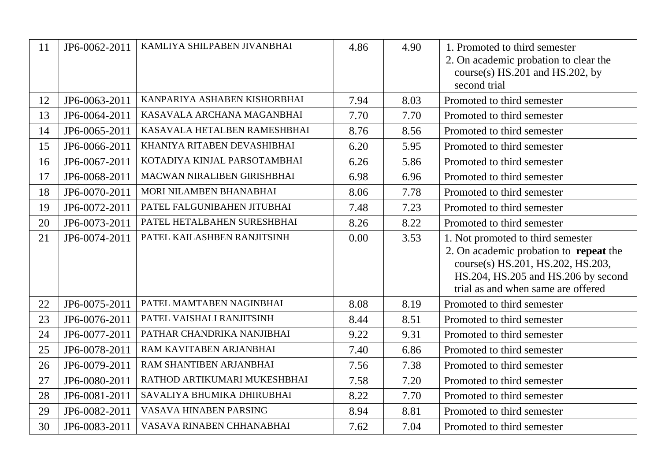| 11 | JP6-0062-2011 | KAMLIYA SHILPABEN JIVANBHAI  | 4.86 | 4.90 | 1. Promoted to third semester<br>2. On academic probation to clear the<br>course(s) $HS.201$ and $HS.202$ , by<br>second trial                                                                |
|----|---------------|------------------------------|------|------|-----------------------------------------------------------------------------------------------------------------------------------------------------------------------------------------------|
| 12 | JP6-0063-2011 | KANPARIYA ASHABEN KISHORBHAI | 7.94 | 8.03 | Promoted to third semester                                                                                                                                                                    |
| 13 | JP6-0064-2011 | KASAVALA ARCHANA MAGANBHAI   | 7.70 | 7.70 | Promoted to third semester                                                                                                                                                                    |
| 14 | JP6-0065-2011 | KASAVALA HETALBEN RAMESHBHAI | 8.76 | 8.56 | Promoted to third semester                                                                                                                                                                    |
| 15 | JP6-0066-2011 | KHANIYA RITABEN DEVASHIBHAI  | 6.20 | 5.95 | Promoted to third semester                                                                                                                                                                    |
| 16 | JP6-0067-2011 | KOTADIYA KINJAL PARSOTAMBHAI | 6.26 | 5.86 | Promoted to third semester                                                                                                                                                                    |
| 17 | JP6-0068-2011 | MACWAN NIRALIBEN GIRISHBHAI  | 6.98 | 6.96 | Promoted to third semester                                                                                                                                                                    |
| 18 | JP6-0070-2011 | MORI NILAMBEN BHANABHAI      | 8.06 | 7.78 | Promoted to third semester                                                                                                                                                                    |
| 19 | JP6-0072-2011 | PATEL FALGUNIBAHEN JITUBHAI  | 7.48 | 7.23 | Promoted to third semester                                                                                                                                                                    |
| 20 | JP6-0073-2011 | PATEL HETALBAHEN SURESHBHAI  | 8.26 | 8.22 | Promoted to third semester                                                                                                                                                                    |
| 21 | JP6-0074-2011 | PATEL KAILASHBEN RANJITSINH  | 0.00 | 3.53 | 1. Not promoted to third semester<br>2. On academic probation to repeat the<br>course(s) HS.201, HS.202, HS.203,<br>HS.204, HS.205 and HS.206 by second<br>trial as and when same are offered |
| 22 | JP6-0075-2011 | PATEL MAMTABEN NAGINBHAI     | 8.08 | 8.19 | Promoted to third semester                                                                                                                                                                    |
| 23 | JP6-0076-2011 | PATEL VAISHALI RANJITSINH    | 8.44 | 8.51 | Promoted to third semester                                                                                                                                                                    |
| 24 | JP6-0077-2011 | PATHAR CHANDRIKA NANJIBHAI   | 9.22 | 9.31 | Promoted to third semester                                                                                                                                                                    |
| 25 | JP6-0078-2011 | RAM KAVITABEN ARJANBHAI      | 7.40 | 6.86 | Promoted to third semester                                                                                                                                                                    |
| 26 | JP6-0079-2011 | RAM SHANTIBEN ARJANBHAI      | 7.56 | 7.38 | Promoted to third semester                                                                                                                                                                    |
| 27 | JP6-0080-2011 | RATHOD ARTIKUMARI MUKESHBHAI | 7.58 | 7.20 | Promoted to third semester                                                                                                                                                                    |
| 28 | JP6-0081-2011 | SAVALIYA BHUMIKA DHIRUBHAI   | 8.22 | 7.70 | Promoted to third semester                                                                                                                                                                    |
| 29 | JP6-0082-2011 | VASAVA HINABEN PARSING       | 8.94 | 8.81 | Promoted to third semester                                                                                                                                                                    |
| 30 | JP6-0083-2011 | VASAVA RINABEN CHHANABHAI    | 7.62 | 7.04 | Promoted to third semester                                                                                                                                                                    |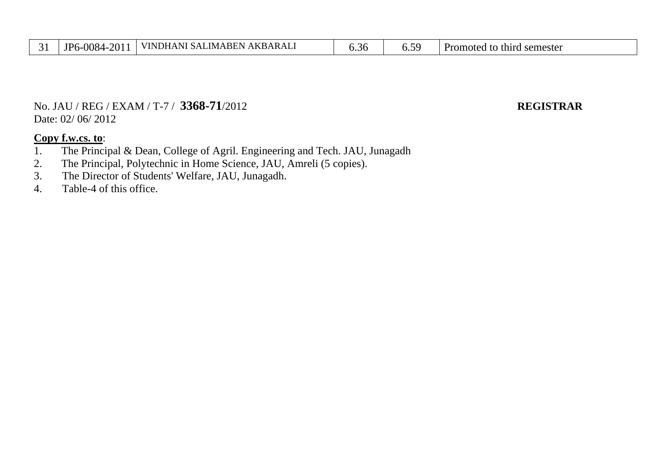| ັ | 2011<br>0084-<br><b>ID6</b> | VINDHANI SALIMABEN AKBARALI | ı<br>.ა.არ | . .<br>$\mathbf{U}$ | Promoted to third<br>semester |
|---|-----------------------------|-----------------------------|------------|---------------------|-------------------------------|
|---|-----------------------------|-----------------------------|------------|---------------------|-------------------------------|

No. JAU / REG / EXAM / T-7 / **3368-71**/2012 **REGISTRAR** Date: 02/ 06/ 2012

- 1. The Principal & Dean, College of Agril. Engineering and Tech. JAU, Junagadh
- 2. The Principal, Polytechnic in Home Science, JAU, Amreli (5 copies).
- 3. The Director of Students' Welfare, JAU, Junagadh.
- 4. Table-4 of this office.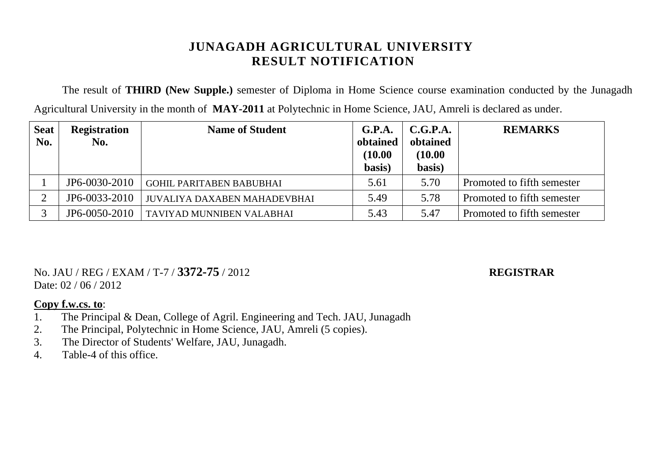The result of **THIRD (New Supple.)** semester of Diploma in Home Science course examination conducted by the Junagadh Agricultural University in the month of **MAY-2011** at Polytechnic in Home Science, JAU, Amreli is declared as under.

| <b>Seat</b> | <b>Registration</b> | <b>Name of Student</b>          | G.P.A.   | C.G.P.A. | <b>REMARKS</b>             |
|-------------|---------------------|---------------------------------|----------|----------|----------------------------|
| No.         | No.                 |                                 | obtained | obtained |                            |
|             |                     |                                 | (10.00)  | (10.00)  |                            |
|             |                     |                                 | basis)   | basis)   |                            |
|             | JP6-0030-2010       | <b>GOHIL PARITABEN BABUBHAI</b> | 5.61     | 5.70     | Promoted to fifth semester |
|             | JP6-0033-2010       | JUVALIYA DAXABEN MAHADEVBHAI    | 5.49     | 5.78     | Promoted to fifth semester |
|             | JP6-0050-2010       | TAVIYAD MUNNIBEN VALABHAI       | 5.43     | 5.47     | Promoted to fifth semester |

No. JAU / REG / EXAM / T-7 / **3372-75** / 2012 **REGISTRAR** Date: 02 / 06 / 2012

- 1. The Principal & Dean, College of Agril. Engineering and Tech. JAU, Junagadh
- 2. The Principal, Polytechnic in Home Science, JAU, Amreli (5 copies).
- 3. The Director of Students' Welfare, JAU, Junagadh.
- 4. Table-4 of this office.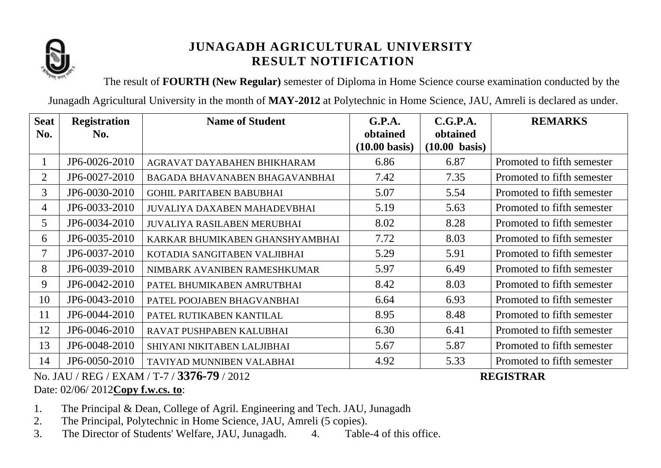

The result of **FOURTH (New Regular)** semester of Diploma in Home Science course examination conducted by the

Junagadh Agricultural University in the month of **MAY-2012** at Polytechnic in Home Science, JAU, Amreli is declared as under.

| <b>Seat</b><br>No. | <b>Registration</b><br>No. | <b>Name of Student</b>              | G.P.A.<br>obtained      | C.G.P.A.<br>obtained    | <b>REMARKS</b>             |
|--------------------|----------------------------|-------------------------------------|-------------------------|-------------------------|----------------------------|
|                    |                            |                                     | $(10.00 \text{ basis})$ | $(10.00 \text{ basis})$ |                            |
| $\mathbf{I}$       | JP6-0026-2010              | AGRAVAT DAYABAHEN BHIKHARAM         | 6.86                    | 6.87                    | Promoted to fifth semester |
| $\overline{2}$     | JP6-0027-2010              | BAGADA BHAVANABEN BHAGAVANBHAI      | 7.42                    | 7.35                    | Promoted to fifth semester |
| 3                  | JP6-0030-2010              | <b>GOHIL PARITABEN BABUBHAI</b>     | 5.07                    | 5.54                    | Promoted to fifth semester |
| 4                  | JP6-0033-2010              | <b>JUVALIYA DAXABEN MAHADEVBHAI</b> | 5.19                    | 5.63                    | Promoted to fifth semester |
| 5                  | JP6-0034-2010              | <b>JUVALIYA RASILABEN MERUBHAI</b>  | 8.02                    | 8.28                    | Promoted to fifth semester |
| 6                  | JP6-0035-2010              | KARKAR BHUMIKABEN GHANSHYAMBHAI     | 7.72                    | 8.03                    | Promoted to fifth semester |
| 7                  | JP6-0037-2010              | KOTADIA SANGITABEN VALJIBHAI        | 5.29                    | 5.91                    | Promoted to fifth semester |
| 8                  | JP6-0039-2010              | NIMBARK AVANIBEN RAMESHKUMAR        | 5.97                    | 6.49                    | Promoted to fifth semester |
| 9                  | JP6-0042-2010              | PATEL BHUMIKABEN AMRUTBHAI          | 8.42                    | 8.03                    | Promoted to fifth semester |
| 10                 | JP6-0043-2010              | PATEL POOJABEN BHAGVANBHAI          | 6.64                    | 6.93                    | Promoted to fifth semester |
| 11                 | JP6-0044-2010              | PATEL RUTIKABEN KANTILAL            | 8.95                    | 8.48                    | Promoted to fifth semester |
| 12                 | JP6-0046-2010              | RAVAT PUSHPABEN KALUBHAI            | 6.30                    | 6.41                    | Promoted to fifth semester |
| 13                 | JP6-0048-2010              | SHIYANI NIKITABEN LALJIBHAI         | 5.67                    | 5.87                    | Promoted to fifth semester |
| 14                 | JP6-0050-2010              | TAVIYAD MUNNIBEN VALABHAI           | 4.92                    | 5.33                    | Promoted to fifth semester |

No. JAU / REG / EXAM / T-7 / **3376-79** / 2012 **REGISTRAR** Date: 02/06/ 2012**Copy f.w.cs. to**:

- 1. The Principal & Dean, College of Agril. Engineering and Tech. JAU, Junagadh
- 2. The Principal, Polytechnic in Home Science, JAU, Amreli (5 copies).
- 3. The Director of Students' Welfare, JAU, Junagadh. 4. Table-4 of this office.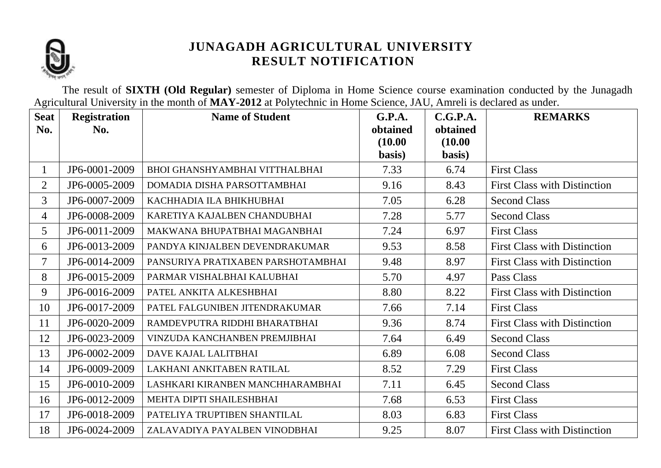

The result of **SIXTH (Old Regular)** semester of Diploma in Home Science course examination conducted by the Junagadh Agricultural University in the month of **MAY-2012** at Polytechnic in Home Science, JAU, Amreli is declared as under.

| <b>Seat</b>    | <b>Registration</b> | <b>Name of Student</b>                | G.P.A.              | C.G.P.A.            | <b>REMARKS</b>                      |
|----------------|---------------------|---------------------------------------|---------------------|---------------------|-------------------------------------|
| No.            | No.                 |                                       | obtained<br>(10.00) | obtained<br>(10.00) |                                     |
|                |                     |                                       | basis)              | basis)              |                                     |
| $\mathbf{1}$   | JP6-0001-2009       | <b>BHOI GHANSHYAMBHAI VITTHALBHAI</b> | 7.33                | 6.74                | <b>First Class</b>                  |
| $\overline{2}$ | JP6-0005-2009       | DOMADIA DISHA PARSOTTAMBHAI           | 9.16                | 8.43                | <b>First Class with Distinction</b> |
| $\overline{3}$ | JP6-0007-2009       | KACHHADIA ILA BHIKHUBHAI              | 7.05                | 6.28                | <b>Second Class</b>                 |
| 4              | JP6-0008-2009       | KARETIYA KAJALBEN CHANDUBHAI          | 7.28                | 5.77                | <b>Second Class</b>                 |
| 5              | JP6-0011-2009       | MAKWANA BHUPATBHAI MAGANBHAI          | 7.24                | 6.97                | <b>First Class</b>                  |
| 6              | JP6-0013-2009       | PANDYA KINJALBEN DEVENDRAKUMAR        | 9.53                | 8.58                | <b>First Class with Distinction</b> |
| $\overline{7}$ | JP6-0014-2009       | PANSURIYA PRATIXABEN PARSHOTAMBHAI    | 9.48                | 8.97                | <b>First Class with Distinction</b> |
| 8              | JP6-0015-2009       | PARMAR VISHALBHAI KALUBHAI            | 5.70                | 4.97                | Pass Class                          |
| 9              | JP6-0016-2009       | PATEL ANKITA ALKESHBHAI               | 8.80                | 8.22                | <b>First Class with Distinction</b> |
| 10             | JP6-0017-2009       | PATEL FALGUNIBEN JITENDRAKUMAR        | 7.66                | 7.14                | <b>First Class</b>                  |
| 11             | JP6-0020-2009       | RAMDEVPUTRA RIDDHI BHARATBHAI         | 9.36                | 8.74                | <b>First Class with Distinction</b> |
| 12             | JP6-0023-2009       | VINZUDA KANCHANBEN PREMJIBHAI         | 7.64                | 6.49                | <b>Second Class</b>                 |
| 13             | JP6-0002-2009       | DAVE KAJAL LALITBHAI                  | 6.89                | 6.08                | <b>Second Class</b>                 |
| 14             | JP6-0009-2009       | LAKHANI ANKITABEN RATILAL             | 8.52                | 7.29                | <b>First Class</b>                  |
| 15             | JP6-0010-2009       | LASHKARI KIRANBEN MANCHHARAMBHAI      | 7.11                | 6.45                | <b>Second Class</b>                 |
| 16             | JP6-0012-2009       | MEHTA DIPTI SHAILESHBHAI              | 7.68                | 6.53                | <b>First Class</b>                  |
| 17             | JP6-0018-2009       | PATELIYA TRUPTIBEN SHANTILAL          | 8.03                | 6.83                | <b>First Class</b>                  |
| 18             | JP6-0024-2009       | ZALAVADIYA PAYALBEN VINODBHAI         | 9.25                | 8.07                | <b>First Class with Distinction</b> |